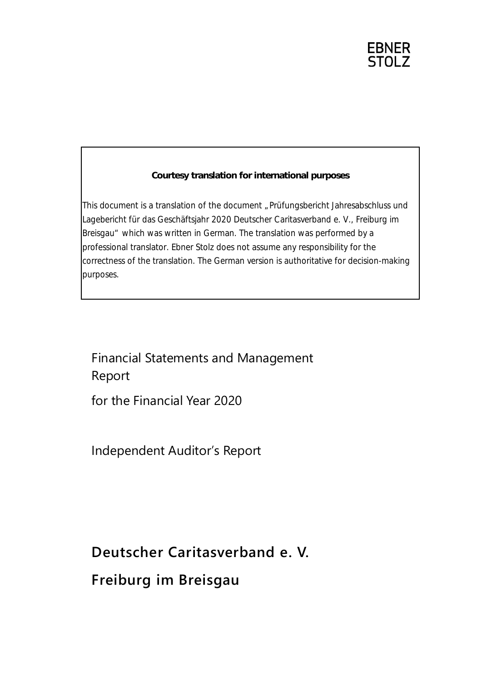**EBNER** STOL<sub>7</sub>

# **Courtesy translation for international purposes**

This document is a translation of the document "Prüfungsbericht Jahresabschluss und Lagebericht für das Geschäftsjahr 2020 Deutscher Caritasverband e. V., Freiburg im Breisgau" which was written in German. The translation was performed by a professional translator. Ebner Stolz does not assume any responsibility for the correctness of the translation. The German version is authoritative for decision-making purposes.

# Financial Statements and Management Report

for the Financial Year 2020

Independent Auditor's Report

**Deutscher Caritasverband e. V.**

**Freiburg im Breisgau**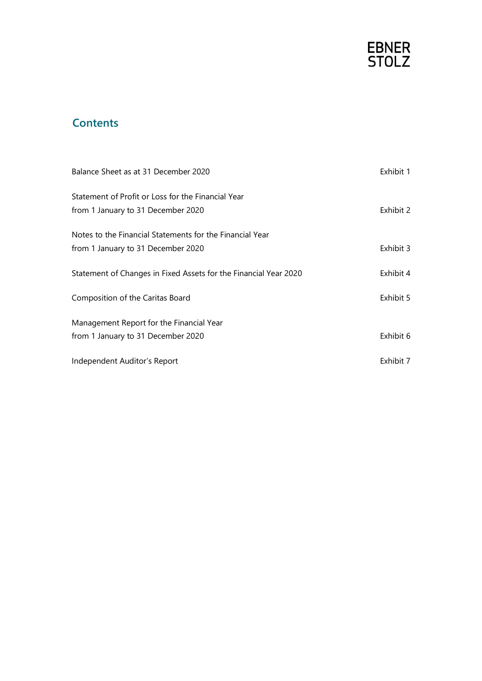

# **Contents**

| Balance Sheet as at 31 December 2020                             | Exhibit 1 |
|------------------------------------------------------------------|-----------|
| Statement of Profit or Loss for the Financial Year               |           |
| from 1 January to 31 December 2020                               | Exhibit 2 |
| Notes to the Financial Statements for the Financial Year         |           |
| from 1 January to 31 December 2020                               | Exhibit 3 |
| Statement of Changes in Fixed Assets for the Financial Year 2020 | Exhibit 4 |
| Composition of the Caritas Board                                 | Exhibit 5 |
| Management Report for the Financial Year                         |           |
| from 1 January to 31 December 2020                               | Exhibit 6 |
| Independent Auditor's Report                                     | Exhibit 7 |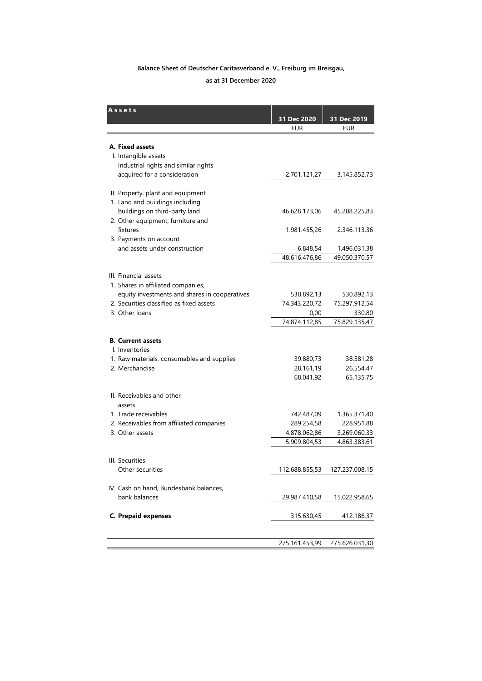# **Balance Sheet of Deutscher Caritasverband e. V., Freiburg im Breisgau, as at 31 December 2020**

| Assets                                                                                    |                             |                             |
|-------------------------------------------------------------------------------------------|-----------------------------|-----------------------------|
|                                                                                           | 31 Dec 2020                 | 31 Dec 2019                 |
|                                                                                           | <b>EUR</b>                  | <b>EUR</b>                  |
| A. Fixed assets                                                                           |                             |                             |
| I. Intangible assets                                                                      |                             |                             |
| Industrial rights and similar rights                                                      |                             |                             |
| acquired for a consideration                                                              | 2.701.121,27                | 3.145.852,73                |
|                                                                                           |                             |                             |
| II. Property, plant and equipment                                                         |                             |                             |
| 1. Land and buildings including                                                           |                             |                             |
| buildings on third-party land                                                             | 46.628.173,06               | 45.208.225,83               |
| 2. Other equipment, furniture and                                                         |                             |                             |
| fixtures                                                                                  | 1.981.455,26                | 2.346.113,36                |
| 3. Payments on account                                                                    |                             |                             |
| and assets under construction                                                             | 6.848,54                    | 1.496.031,38                |
|                                                                                           | 48.616.476,86               | 49.050.370,57               |
|                                                                                           |                             |                             |
| III. Financial assets                                                                     |                             |                             |
| 1. Shares in affiliated companies,                                                        |                             |                             |
| equity investments and shares in cooperatives<br>2. Securities classified as fixed assets | 530.892,13<br>74.343.220,72 | 530.892,13<br>75.297.912,54 |
| 3. Other loans                                                                            | 0,00                        | 330,80                      |
|                                                                                           | 74.874.112,85               | 75.829.135,47               |
|                                                                                           |                             |                             |
| <b>B. Current assets</b>                                                                  |                             |                             |
| I. Inventories                                                                            |                             |                             |
| 1. Raw materials, consumables and supplies                                                | 39.880,73                   | 38.581,28                   |
| 2. Merchandise                                                                            | 28.161,19                   | 26.554,47                   |
|                                                                                           | 68.041,92                   | 65.135,75                   |
|                                                                                           |                             |                             |
| II. Receivables and other                                                                 |                             |                             |
| assets                                                                                    |                             |                             |
| 1. Trade receivables                                                                      | 742.487,09                  | 1.365.371,40                |
| 2. Receivables from affiliated companies                                                  | 289.254,58                  | 228.951,88                  |
| 3. Other assets                                                                           | 4.878.062,86                | 3.269.060,33                |
|                                                                                           | 5.909.804,53                | 4.863.383,61                |
| III. Securities                                                                           |                             |                             |
| Other securities                                                                          | 112.688.855,53              | 127.237.008,15              |
|                                                                                           |                             |                             |
| IV. Cash on hand, Bundesbank balances,                                                    |                             |                             |
| bank balances                                                                             | 29.987.410,58               | 15.022.958,65               |
|                                                                                           |                             |                             |
| <b>C. Prepaid expenses</b>                                                                | 315.630,45                  | 412.186,37                  |
|                                                                                           |                             |                             |
|                                                                                           |                             |                             |
|                                                                                           | 275.161.453,99              | 275.626.031,30              |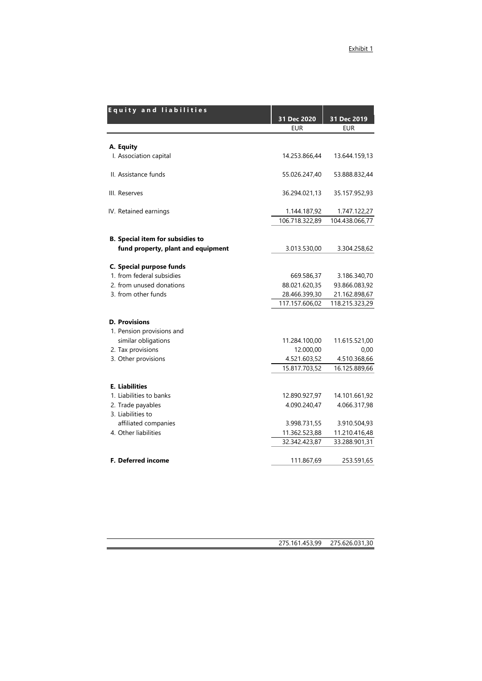| <b>Equity and liabilities</b>           |                |                |
|-----------------------------------------|----------------|----------------|
|                                         | 31 Dec 2020    | 31 Dec 2019    |
|                                         | <b>EUR</b>     | <b>EUR</b>     |
|                                         |                |                |
| A. Equity                               |                |                |
| I. Association capital                  | 14.253.866,44  | 13.644.159,13  |
| II. Assistance funds                    | 55.026.247,40  | 53.888.832,44  |
| III. Reserves                           | 36.294.021,13  | 35.157.952,93  |
| IV. Retained earnings                   | 1.144.187,92   | 1.747.122,27   |
|                                         | 106.718.322,89 | 104.438.066,77 |
| <b>B.</b> Special item for subsidies to |                |                |
| fund property, plant and equipment      | 3.013.530,00   | 3.304.258,62   |
| C. Special purpose funds                |                |                |
| 1. from federal subsidies               | 669.586,37     | 3.186.340,70   |
| 2. from unused donations                | 88.021.620,35  | 93.866.083,92  |
| 3. from other funds                     | 28.466.399,30  | 21.162.898,67  |
|                                         | 117.157.606,02 | 118.215.323,29 |
| <b>D. Provisions</b>                    |                |                |
| 1. Pension provisions and               |                |                |
| similar obligations                     | 11.284.100,00  | 11.615.521,00  |
| 2. Tax provisions                       | 12.000,00      | 0,00           |
| 3. Other provisions                     | 4.521.603,52   | 4.510.368,66   |
|                                         | 15.817.703,52  | 16.125.889,66  |
| <b>E. Liabilities</b>                   |                |                |
| 1. Liabilities to banks                 | 12.890.927,97  | 14.101.661,92  |
| 2. Trade payables                       | 4.090.240,47   | 4.066.317,98   |
| 3. Liabilities to                       |                |                |
| affiliated companies                    | 3.998.731,55   | 3.910.504,93   |
| 4. Other liabilities                    | 11.362.523,88  | 11.210.416,48  |
|                                         | 32.342.423,87  | 33.288.901,31  |
| F. Deferred income                      | 111.867,69     | 253.591,65     |

275.161.453,99 275.626.031,30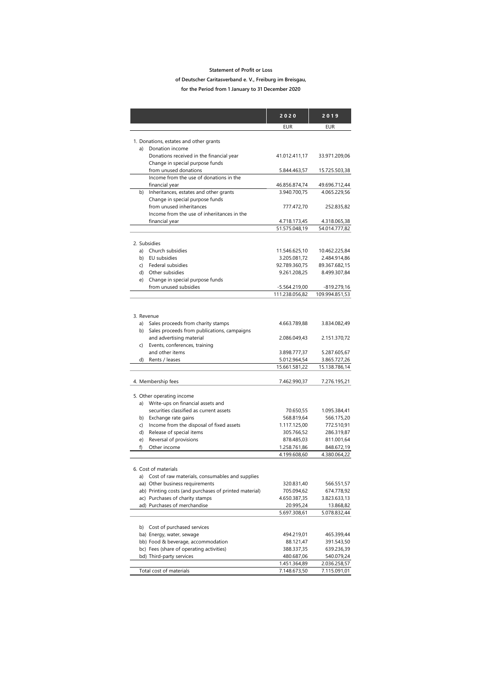#### **Statement of Profit or Loss**

#### **of Deutscher Caritasverband e. V., Freiburg im Breisgau,**

**for the Period from 1 January to 31 December 2020**

|            |                                                                             | 2020                          | 2019                          |
|------------|-----------------------------------------------------------------------------|-------------------------------|-------------------------------|
|            |                                                                             | <b>EUR</b>                    | <b>EUR</b>                    |
|            |                                                                             |                               |                               |
|            | 1. Donations, estates and other grants                                      |                               |                               |
| a)         | Donation income                                                             |                               |                               |
|            | Donations received in the financial year<br>Change in special purpose funds | 41.012.411,17                 | 33.971.209,06                 |
|            | from unused donations                                                       | 5.844.463,57                  | 15.725.503,38                 |
|            | Income from the use of donations in the                                     |                               |                               |
|            | financial year                                                              | 46.856.874,74                 | 49.696.712,44                 |
|            | b) Inheritances, estates and other grants                                   | 3.940.700,75                  | 4.065.229,56                  |
|            | Change in special purpose funds                                             |                               |                               |
|            | from unused inheritances<br>Income from the use of inheriitances in the     | 777.472,70                    | 252.835,82                    |
|            | financial year                                                              | 4.718.173,45                  | 4.318.065,38                  |
|            |                                                                             | 51.575.048,19                 | 54.014.777,82                 |
|            |                                                                             |                               |                               |
|            | 2. Subsidies                                                                |                               |                               |
|            | a) Church subsidies                                                         | 11.546.625,10                 | 10.462.225,84                 |
|            | b) EU subsidies                                                             | 3.205.081,72                  | 2.484.914,86                  |
|            | c) Federal subsidies                                                        | 92.789.360,75                 | 89.367.682,15                 |
|            | d) Other subsidies<br>e) Change in special purpose funds                    | 9.261.208,25                  | 8.499.307,84                  |
|            | from unused subsidies                                                       | -5.564.219,00                 | $-819.279,16$                 |
|            |                                                                             | 111.238.056,82                | 109.994.851,53                |
|            |                                                                             |                               |                               |
| 3. Revenue |                                                                             |                               |                               |
| a)         | Sales proceeds from charity stamps                                          | 4.663.789,88                  | 3.834.082.49                  |
|            | b) Sales proceeds from publications, campaigns                              |                               |                               |
|            | and advertising material                                                    | 2.086.049,43                  | 2.151.370,72                  |
|            | c) Events, conferences, training                                            |                               |                               |
|            | and other items                                                             | 3.898.777,37                  | 5.287.605,67                  |
|            | d) Rents / leases                                                           | 5.012.964,54<br>15.661.581,22 | 3.865.727,26<br>15.138.786,14 |
|            |                                                                             |                               |                               |
|            | 4. Membership fees                                                          | 7.462.990,37                  | 7.276.195,21                  |
|            | 5. Other operating income                                                   |                               |                               |
|            | a) Write-ups on financial assets and                                        |                               |                               |
|            | securities classified as current assets                                     | 70.650,55                     | 1.095.384,41                  |
|            | b) Exchange rate gains                                                      | 568.819,64                    | 566.175,20                    |
|            | c) Income from the disposal of fixed assets                                 | 1.117.125,00                  | 772.510,91                    |
|            | d) Release of special items                                                 | 305.766,52                    | 286.319,87                    |
| (e)        | Reversal of provisions                                                      | 878.485,03                    | 811.001,64                    |
| f)         | Other income                                                                | 1.258.761,86                  | 848.672,19                    |
|            |                                                                             | 4.199.608.60                  | 4.380.064.22                  |
|            | 6. Cost of materials                                                        |                               |                               |
| a)         | Cost of raw materials, consumables and supplies                             |                               |                               |
|            | aa) Other business requirements                                             | 320.831,40                    | 566.551,57                    |
|            | ab) Printing costs (and purchases of printed material)                      | 705.094,62                    | 674.778,92                    |
|            | ac) Purchases of charity stamps                                             | 4.650.387,35                  | 3.823.633,13                  |
|            | ad) Purchases of merchandise                                                | 20.995,24                     | 13.868,82                     |
|            |                                                                             | 5.697.308,61                  | 5.078.832,44                  |
| b)         | Cost of purchased services                                                  |                               |                               |
|            | ba) Energy, water, sewage                                                   | 494.219,01                    | 465.399,44                    |
|            | bb) Food & beverage, accommodation                                          | 88.121,47                     | 391.543,50                    |
|            | bc) Fees (share of operating activities)                                    | 388.337,35                    | 639.236,39                    |
|            | bd) Third-party services                                                    | 480.687,06<br>1.451.364,89    | 540.079,24<br>2.036.258,57    |
|            | Total cost of materials                                                     | 7.148.673,50                  | 7.115.091,01                  |
|            |                                                                             |                               |                               |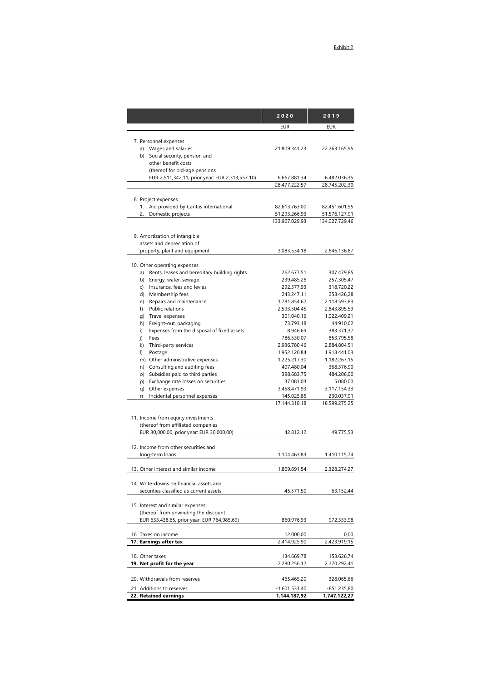|                                                                     | 2020                           | 2019                           |
|---------------------------------------------------------------------|--------------------------------|--------------------------------|
|                                                                     | <b>EUR</b>                     | EUR                            |
|                                                                     |                                |                                |
| 7. Personnel expenses                                               |                                |                                |
| a) Wages and salaries                                               | 21.809.341,23                  | 22.263.165,95                  |
| b) Social security, pension and<br>other benefit costs              |                                |                                |
| (thereof for old-age pensions                                       |                                |                                |
| EUR 2,511,342.11, prior year: EUR 2,313,557.10)                     | 6.667.881,34                   | 6.482.036,35                   |
|                                                                     | 28.477.222,57                  | 28.745.202,30                  |
|                                                                     |                                |                                |
| 8. Project expenses                                                 |                                |                                |
| 1. Aid provided by Caritas international<br>2.                      | 82.613.763,00<br>51.293.266,93 | 82.451.601,55<br>51.576.127,91 |
| Domestic projects                                                   | 133.907.029,93                 | 134.027.729,46                 |
|                                                                     |                                |                                |
| 9. Amortization of intangible                                       |                                |                                |
| assets and depreciation of                                          |                                |                                |
| property, plant and equipment                                       | 3.083.534,18                   | 2.646.136,87                   |
| 10. Other operating expenses                                        |                                |                                |
| Rents, leases and hereditary building rights<br>a)                  | 262.677,51                     | 307.479,85                     |
| b) Energy, water, sewage                                            | 239.485,26                     | 257.305,47                     |
| Insurance, fees and levies<br>C)                                    | 292.377,93                     | 318.720,22                     |
| d) Membership fees                                                  | 243.247,11                     | 258.426,28                     |
| Repairs and maintenance<br>e)                                       | 1.781.854,62                   | 2.118.593,83                   |
| Public relations<br>f)                                              | 2.593.504,45                   | 2.843.895,59                   |
| Travel expenses<br>q)                                               | 301.040,16                     | 1.022.409,21                   |
| Freight-out, packaging<br>h)                                        | 73.793,18                      | 44.910,02                      |
| Expenses from the disposal of fixed assets<br>i)                    | 8.946,69                       | 383.371,37                     |
| Fees<br>i)                                                          | 786.530,07                     | 853.795,58                     |
| k) Third-party services                                             | 2.936.780,46                   | 2.884.804,51                   |
| Postage<br>$\vert$                                                  | 1.952.120,84                   | 1.918.441,03                   |
| m) Other administrative expenses<br>n) Consulting and auditing fees | 1.225.217,30<br>407.480,04     | 1.182.267,15<br>368.376,90     |
| o) Subsidies paid to third parties                                  | 398.683,75                     | 484.206,00                     |
| p) Exchange rate losses on securities                               | 37.081,03                      | 5.080,00                       |
| q) Other expenses                                                   | 3.458.471,93                   | 3.117.154,33                   |
| Incidental personnel expenses<br>r)                                 | 145.025,85                     | 230.037,91                     |
|                                                                     | 17.144.318,18                  | 18.599.275,25                  |
|                                                                     |                                |                                |
| 11. Income from equity investments                                  |                                |                                |
| (thereof from affiliated companies                                  |                                |                                |
| EUR 30,000.00, prior year: EUR 30,000.00)                           | 42.812,12                      | 49.775,53                      |
| 12. Income from other securities and                                |                                |                                |
| long-term loans                                                     | 1.104.463,83                   | 1.410.115,74                   |
|                                                                     |                                |                                |
| 13. Other interest and similar income                               | 1.809.691,54                   | 2.328.274,27                   |
| 14. Write-downs on financial assets and                             |                                |                                |
| securities classified as current assets                             | 45.571,50                      | 63.152,44                      |
|                                                                     |                                |                                |
| 15. Interest and similar expenses                                   |                                |                                |
| (thereof from unwinding the discount                                |                                |                                |
| EUR 633,438.65, prior year: EUR 764,985.69)                         | 860.976,93                     | 972.333,98                     |
| 16. Taxes on income                                                 | 12.000,00                      | 0,00                           |
| 17. Earnings after tax                                              | 2.414.925,90                   | 2.423.919,15                   |
|                                                                     |                                |                                |
| 18. Other taxes<br>19. Net profit for the year                      | 134.669,78<br>2.280.256,12     | 153.626,74<br>2.270.292,41     |
|                                                                     |                                |                                |
| 20. Withdrawals from reserves                                       | 465.465,20                     | 328.065,66                     |
| 21. Additions to reserves                                           | -1.601.533,40                  | -851.235,80                    |
| 22. Retained earnings                                               | 1.144.187,92                   | 1.747.122,27                   |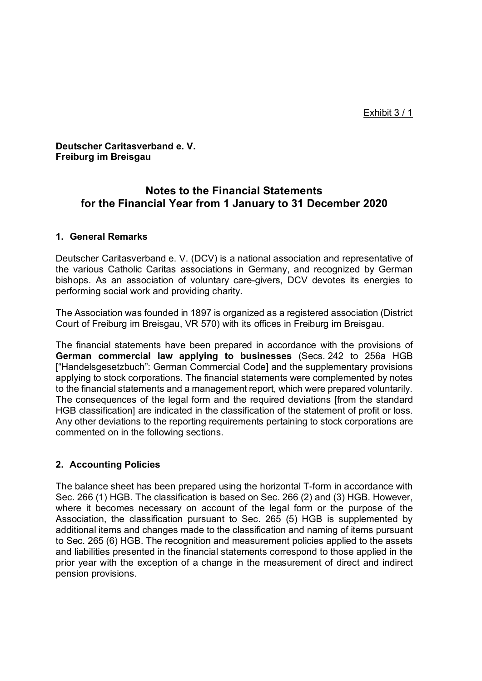**Deutscher Caritasverband e. V. Freiburg im Breisgau**

# **Notes to the Financial Statements for the Financial Year from 1 January to 31 December 2020**

# **1. General Remarks**

Deutscher Caritasverband e. V. (DCV) is a national association and representative of the various Catholic Caritas associations in Germany, and recognized by German bishops. As an association of voluntary care-givers, DCV devotes its energies to performing social work and providing charity.

The Association was founded in 1897 is organized as a registered association (District Court of Freiburg im Breisgau, VR 570) with its offices in Freiburg im Breisgau.

The financial statements have been prepared in accordance with the provisions of **German commercial law applying to businesses** (Secs. 242 to 256a HGB ["Handelsgesetzbuch": German Commercial Code] and the supplementary provisions applying to stock corporations. The financial statements were complemented by notes to the financial statements and a management report, which were prepared voluntarily. The consequences of the legal form and the required deviations [from the standard HGB classification] are indicated in the classification of the statement of profit or loss. Any other deviations to the reporting requirements pertaining to stock corporations are commented on in the following sections.

# **2. Accounting Policies**

The balance sheet has been prepared using the horizontal T-form in accordance with Sec. 266 (1) HGB. The classification is based on Sec. 266 (2) and (3) HGB. However, where it becomes necessary on account of the legal form or the purpose of the Association, the classification pursuant to Sec. 265 (5) HGB is supplemented by additional items and changes made to the classification and naming of items pursuant to Sec. 265 (6) HGB. The recognition and measurement policies applied to the assets and liabilities presented in the financial statements correspond to those applied in the prior year with the exception of a change in the measurement of direct and indirect pension provisions.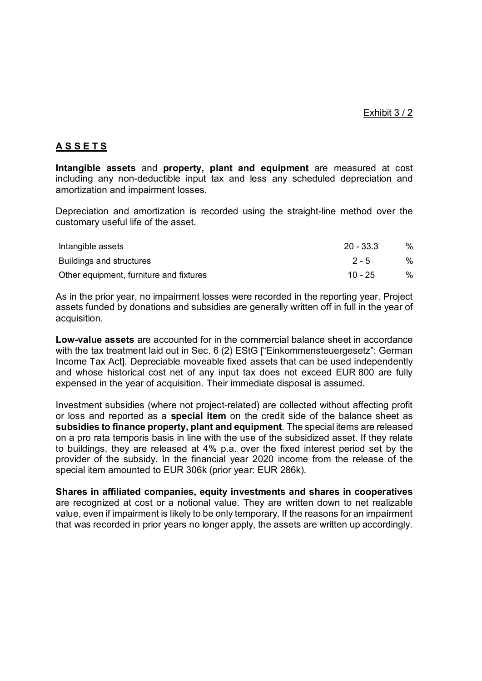# **A S S E T S**

**Intangible assets** and **property, plant and equipment** are measured at cost including any non-deductible input tax and less any scheduled depreciation and amortization and impairment losses.

Depreciation and amortization is recorded using the straight-line method over the customary useful life of the asset.

| Intangible assets                       | $20 - 33.3$ | $\%$          |
|-----------------------------------------|-------------|---------------|
| Buildings and structures                | $2 - 5$     | $\%$          |
| Other equipment, furniture and fixtures | $10 - 25$   | $\frac{0}{0}$ |

As in the prior year, no impairment losses were recorded in the reporting year. Project assets funded by donations and subsidies are generally written off in full in the year of acquisition.

**Low-value assets** are accounted for in the commercial balance sheet in accordance with the tax treatment laid out in Sec. 6 (2) EStG ["Einkommensteuergesetz": German Income Tax Act]. Depreciable moveable fixed assets that can be used independently and whose historical cost net of any input tax does not exceed EUR 800 are fully expensed in the year of acquisition. Their immediate disposal is assumed.

Investment subsidies (where not project-related) are collected without affecting profit or loss and reported as a **special item** on the credit side of the balance sheet as **subsidies to finance property, plant and equipment**. The special items are released on a pro rata temporis basis in line with the use of the subsidized asset. If they relate to buildings, they are released at 4% p.a. over the fixed interest period set by the provider of the subsidy. In the financial year 2020 income from the release of the special item amounted to EUR 306k (prior year: EUR 286k).

**Shares in affiliated companies, equity investments and shares in cooperatives** are recognized at cost or a notional value. They are written down to net realizable value, even if impairment is likely to be only temporary. If the reasons for an impairment that was recorded in prior years no longer apply, the assets are written up accordingly.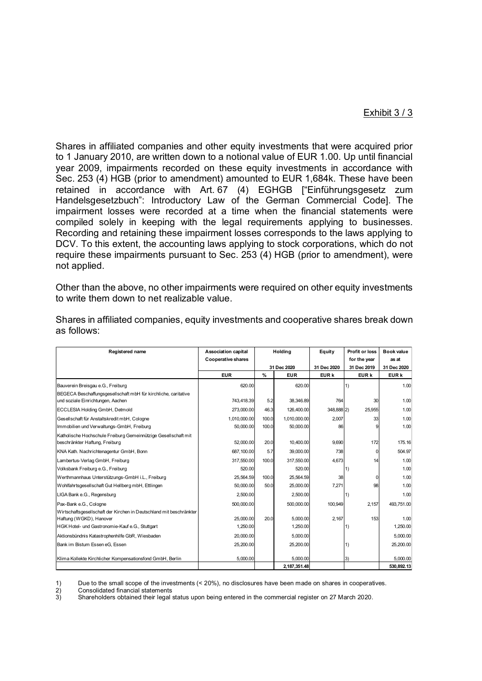## Exhibit 3 / 3

Shares in affiliated companies and other equity investments that were acquired prior to 1 January 2010, are written down to a notional value of EUR 1.00. Up until financial year 2009, impairments recorded on these equity investments in accordance with Sec. 253 (4) HGB (prior to amendment) amounted to EUR 1,684k. These have been retained in accordance with Art. 67 (4) EGHGB ["Einführungsgesetz zum Handelsgesetzbuch": Introductory Law of the German Commercial Code]. The impairment losses were recorded at a time when the financial statements were compiled solely in keeping with the legal requirements applying to businesses. Recording and retaining these impairment losses corresponds to the laws applying to DCV. To this extent, the accounting laws applying to stock corporations, which do not require these impairments pursuant to Sec. 253 (4) HGB (prior to amendment), were not applied.

Other than the above, no other impairments were required on other equity investments to write them down to net realizable value.

| Registered name                                                                                     | <b>Association capital</b> | Holdina |              | Equity      | Profit or loss | Book value       |
|-----------------------------------------------------------------------------------------------------|----------------------------|---------|--------------|-------------|----------------|------------------|
|                                                                                                     | <b>Cooperative shares</b>  |         |              |             | for the year   | as at            |
|                                                                                                     |                            |         | 31 Dec 2020  | 31 Dec 2020 | 31 Dec 2019    | 31 Dec 2020      |
|                                                                                                     | <b>EUR</b>                 | $\%$    | <b>EUR</b>   | EUR k       | EUR k          | EUR <sub>k</sub> |
| Bauverein Breisgau e.G., Freiburg                                                                   | 620.00                     |         | 620.00       |             | 1)             | 1.00             |
| BEGECA Beschaffungsgesellschaft mbH für kirchliche, caritative<br>und soziale Einrichtungen, Aachen | 743,418.39                 | 5.2     | 38,346.89    | 764         | 30             | 1.00             |
| ECCLESIA Holding GmbH, Detmold                                                                      | 273,000.00                 | 46.3    | 126,400.00   | 348,888 2)  | 25.955         | 1.00             |
| Gesellschaft für Anstaltskredit mbH, Cologne                                                        | 1.010.000.00               | 100.0   | 1,010,000.00 | 2,007       | 33             | 1.00             |
| Immobilien und Verwaltungs-GmbH, Freiburg                                                           | 50,000.00                  | 100.0   | 50,000.00    | 86          |                | 1.00             |
| Katholische Hochschule Freiburg Gemeinnützige Gesellschaft mit<br>beschränkter Haftung, Freiburg    | 52,000.00                  | 20.0    | 10.400.00    | 9.690       | 172            | 175.16           |
| KNA Kath. Nachrichtenagentur GmbH, Bonn                                                             | 687.100.00                 | 5.7     | 39,000.00    | 738         |                | 504.97           |
| Lambertus-Verlag GmbH, Freiburg                                                                     | 317.550.00                 | 100.0   | 317.550.00   | 4,673       | 14             | 1.00             |
| Volksbank Freiburg e.G., Freiburg                                                                   | 520.00                     |         | 520.00       |             | 1)             | 1.00             |
| Werthmannhaus Unterstützungs-GmbH i.L., Freiburg                                                    | 25,564.59                  | 100.0   | 25.564.59    | 38          |                | 1.00             |
| Wohlfahrtsgesellschaft Gut Hellberg mbH, Ettlingen                                                  | 50,000.00                  | 50.0    | 25,000.00    | 7,271       | 98             | 1.00             |
| LIGA Bank e.G., Regensburg                                                                          | 2,500.00                   |         | 2,500.00     |             | 1)             | 1.00             |
| Pax-Bank e.G., Cologne                                                                              | 500,000.00                 |         | 500,000.00   | 100,949     | 2,157          | 493,751.00       |
| Wirtschaftsgesellschaft der Kirchen in Deutschland mit beschränkter<br>Haftung (WGKD), Hanover      | 25,000.00                  | 20.0    | 5,000.00     | 2,167       | 153            | 1.00             |
| HGK Hotel- und Gastronomie-Kauf e.G., Stuttgart                                                     | 1,250.00                   |         | 1,250.00     |             | 1)             | 1,250.00         |
| Aktionsbündnis Katastrophenhilfe GbR, Wiesbaden                                                     | 20,000.00                  |         | 5.000.00     |             |                | 5.000.00         |
| Bank im Bistum Essen eG. Essen                                                                      | 25,200.00                  |         | 25.200.00    |             | 1)             | 25.200.00        |
| Klima Kollekte Kirchlicher Kompensationsfond GmbH, Berlin                                           | 5.000.00                   |         | 5,000.00     |             | 3)             | 5.000.00         |
|                                                                                                     |                            |         | 2,187,351.48 |             |                | 530.892.13       |

Shares in affiliated companies, equity investments and cooperative shares break down as follows:

1) Due to the small scope of the investments (< 20%), no disclosures have been made on shares in cooperatives.<br>2) Consolidated financial statements

2) Consolidated financial statements<br>3) Shareholders obtained their legal

3) Shareholders obtained their legal status upon being entered in the commercial register on 27 March 2020.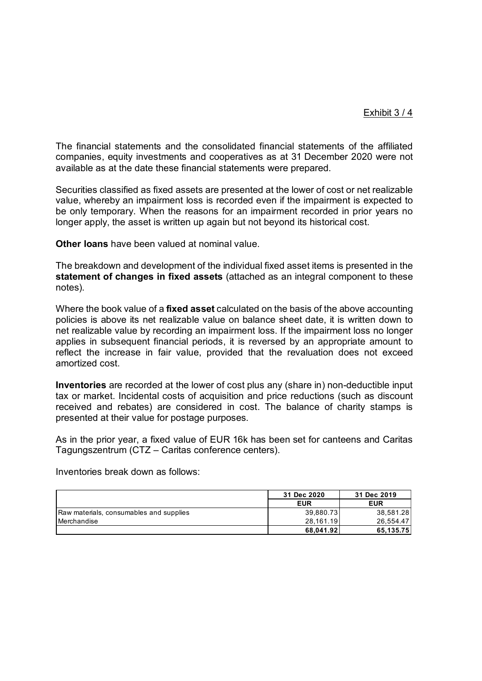The financial statements and the consolidated financial statements of the affiliated companies, equity investments and cooperatives as at 31 December 2020 were not available as at the date these financial statements were prepared.

Securities classified as fixed assets are presented at the lower of cost or net realizable value, whereby an impairment loss is recorded even if the impairment is expected to be only temporary. When the reasons for an impairment recorded in prior years no longer apply, the asset is written up again but not beyond its historical cost.

**Other loans** have been valued at nominal value.

The breakdown and development of the individual fixed asset items is presented in the **statement of changes in fixed assets** (attached as an integral component to these notes).

Where the book value of a **fixed asset** calculated on the basis of the above accounting policies is above its net realizable value on balance sheet date, it is written down to net realizable value by recording an impairment loss. If the impairment loss no longer applies in subsequent financial periods, it is reversed by an appropriate amount to reflect the increase in fair value, provided that the revaluation does not exceed amortized cost.

**Inventories** are recorded at the lower of cost plus any (share in) non-deductible input tax or market. Incidental costs of acquisition and price reductions (such as discount received and rebates) are considered in cost. The balance of charity stamps is presented at their value for postage purposes.

As in the prior year, a fixed value of EUR 16k has been set for canteens and Caritas Tagungszentrum (CTZ – Caritas conference centers).

Inventories break down as follows:

|                                         | 31 Dec 2020 | 31 Dec 2019 |
|-----------------------------------------|-------------|-------------|
|                                         | <b>EUR</b>  | <b>EUR</b>  |
| Raw materials, consumables and supplies | 39,880.73   | 38,581.28   |
| Merchandise                             | 28.161.19   | 26.554.47   |
|                                         | 68.041.92   | 65.135.75   |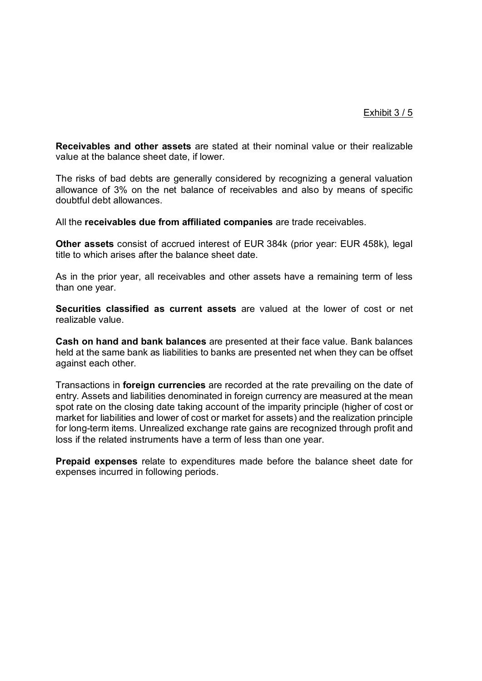**Receivables and other assets** are stated at their nominal value or their realizable value at the balance sheet date, if lower.

The risks of bad debts are generally considered by recognizing a general valuation allowance of 3% on the net balance of receivables and also by means of specific doubtful debt allowances.

All the **receivables due from affiliated companies** are trade receivables.

**Other assets** consist of accrued interest of EUR 384k (prior year: EUR 458k), legal title to which arises after the balance sheet date.

As in the prior year, all receivables and other assets have a remaining term of less than one year.

**Securities classified as current assets** are valued at the lower of cost or net realizable value.

**Cash on hand and bank balances** are presented at their face value. Bank balances held at the same bank as liabilities to banks are presented net when they can be offset against each other.

Transactions in **foreign currencies** are recorded at the rate prevailing on the date of entry. Assets and liabilities denominated in foreign currency are measured at the mean spot rate on the closing date taking account of the imparity principle (higher of cost or market for liabilities and lower of cost or market for assets) and the realization principle for long-term items. Unrealized exchange rate gains are recognized through profit and loss if the related instruments have a term of less than one year.

**Prepaid expenses** relate to expenditures made before the balance sheet date for expenses incurred in following periods.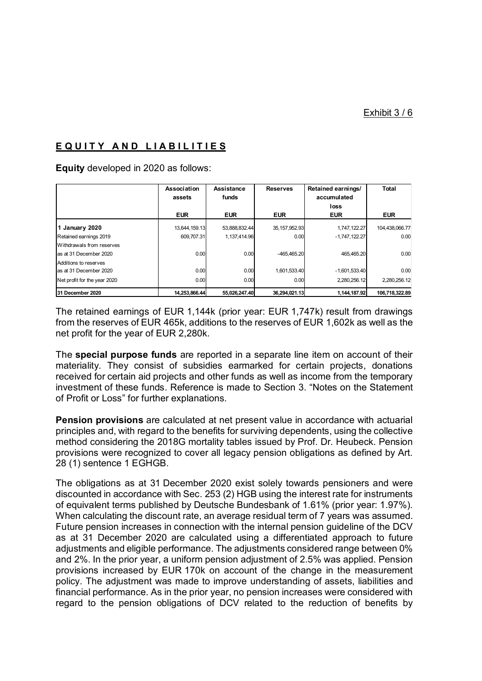# **E Q U I T Y A N D L I A B I L I T I E S**

**Equity** developed in 2020 as follows:

|                              | Association<br>assets | Assistance<br>funds | <b>Reserves</b> | Retained earnings/<br>accumulated<br>loss | Total          |
|------------------------------|-----------------------|---------------------|-----------------|-------------------------------------------|----------------|
|                              | <b>EUR</b>            | <b>EUR</b>          | <b>EUR</b>      | <b>EUR</b>                                | <b>EUR</b>     |
| 1 January 2020               | 13,644,159.13         | 53,888,832.44       | 35, 157, 952.93 | 1,747,122.27                              | 104,438,066.77 |
| Retained earnings 2019       | 609.707.31            | 1,137,414.96        | 0.00            | $-1,747,122.27$                           | 0.00           |
| Withdrawals from reserves    |                       |                     |                 |                                           |                |
| as at 31 December 2020       | 0.00                  | 0.00                | -465.465.20     | 465.465.20                                | 0.00           |
| Additions to reserves        |                       |                     |                 |                                           |                |
| as at 31 December 2020       | 0.00                  | 0.00                | 1,601,533.40    | $-1,601,533.40$                           | 0.00           |
| Net profit for the year 2020 | 0.00                  | 0.00                | 0.00            | 2,280,256.12                              | 2.280.256.12   |
| 31 December 2020             | 14.253.866.44         | 55.026.247.40       | 36.294.021.13   | 1.144.187.92                              | 106,718,322.89 |

The retained earnings of EUR 1,144k (prior year: EUR 1,747k) result from drawings from the reserves of EUR 465k, additions to the reserves of EUR 1,602k as well as the net profit for the year of EUR 2,280k.

The **special purpose funds** are reported in a separate line item on account of their materiality. They consist of subsidies earmarked for certain projects, donations received for certain aid projects and other funds as well as income from the temporary investment of these funds. Reference is made to Section 3. "Notes on the Statement of Profit or Loss" for further explanations.

**Pension provisions** are calculated at net present value in accordance with actuarial principles and, with regard to the benefits for surviving dependents, using the collective method considering the 2018G mortality tables issued by Prof. Dr. Heubeck. Pension provisions were recognized to cover all legacy pension obligations as defined by Art. 28 (1) sentence 1 EGHGB.

The obligations as at 31 December 2020 exist solely towards pensioners and were discounted in accordance with Sec. 253 (2) HGB using the interest rate for instruments of equivalent terms published by Deutsche Bundesbank of 1.61% (prior year: 1.97%). When calculating the discount rate, an average residual term of 7 years was assumed. Future pension increases in connection with the internal pension guideline of the DCV as at 31 December 2020 are calculated using a differentiated approach to future adjustments and eligible performance. The adjustments considered range between 0% and 2%. In the prior year, a uniform pension adjustment of 2.5% was applied. Pension provisions increased by EUR 170k on account of the change in the measurement policy. The adjustment was made to improve understanding of assets, liabilities and financial performance. As in the prior year, no pension increases were considered with regard to the pension obligations of DCV related to the reduction of benefits by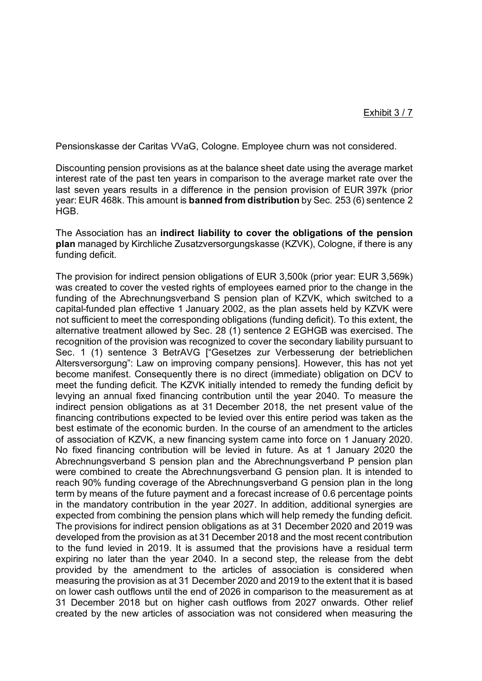Pensionskasse der Caritas VVaG, Cologne. Employee churn was not considered.

Discounting pension provisions as at the balance sheet date using the average market interest rate of the past ten years in comparison to the average market rate over the last seven years results in a difference in the pension provision of EUR 397k (prior year: EUR 468k. This amount is **banned from distribution** by Sec. 253 (6) sentence 2 **HGB** 

The Association has an **indirect liability to cover the obligations of the pension plan** managed by Kirchliche Zusatzversorgungskasse (KZVK), Cologne, if there is any funding deficit.

The provision for indirect pension obligations of EUR 3,500k (prior year: EUR 3,569k) was created to cover the vested rights of employees earned prior to the change in the funding of the Abrechnungsverband S pension plan of KZVK, which switched to a capital-funded plan effective 1 January 2002, as the plan assets held by KZVK were not sufficient to meet the corresponding obligations (funding deficit). To this extent, the alternative treatment allowed by Sec. 28 (1) sentence 2 EGHGB was exercised. The recognition of the provision was recognized to cover the secondary liability pursuant to Sec. 1 (1) sentence 3 BetrAVG ["Gesetzes zur Verbesserung der betrieblichen Altersversorgung": Law on improving company pensions]. However, this has not yet become manifest. Consequently there is no direct (immediate) obligation on DCV to meet the funding deficit. The KZVK initially intended to remedy the funding deficit by levying an annual fixed financing contribution until the year 2040. To measure the indirect pension obligations as at 31 December 2018, the net present value of the financing contributions expected to be levied over this entire period was taken as the best estimate of the economic burden. In the course of an amendment to the articles of association of KZVK, a new financing system came into force on 1 January 2020. No fixed financing contribution will be levied in future. As at 1 January 2020 the Abrechnungsverband S pension plan and the Abrechnungsverband P pension plan were combined to create the Abrechnungsverband G pension plan. It is intended to reach 90% funding coverage of the Abrechnungsverband G pension plan in the long term by means of the future payment and a forecast increase of 0.6 percentage points in the mandatory contribution in the year 2027. In addition, additional synergies are expected from combining the pension plans which will help remedy the funding deficit. The provisions for indirect pension obligations as at 31 December 2020 and 2019 was developed from the provision as at 31 December 2018 and the most recent contribution to the fund levied in 2019. It is assumed that the provisions have a residual term expiring no later than the year 2040. In a second step, the release from the debt provided by the amendment to the articles of association is considered when measuring the provision as at 31 December 2020 and 2019 to the extent that it is based on lower cash outflows until the end of 2026 in comparison to the measurement as at 31 December 2018 but on higher cash outflows from 2027 onwards. Other relief created by the new articles of association was not considered when measuring the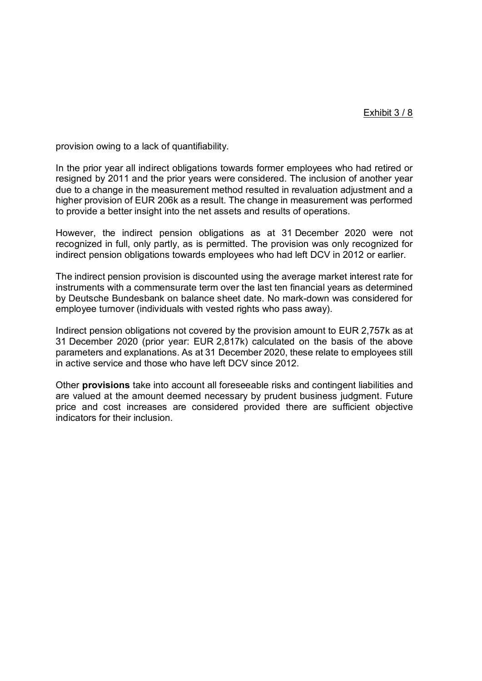provision owing to a lack of quantifiability.

In the prior year all indirect obligations towards former employees who had retired or resigned by 2011 and the prior years were considered. The inclusion of another year due to a change in the measurement method resulted in revaluation adjustment and a higher provision of EUR 206k as a result. The change in measurement was performed to provide a better insight into the net assets and results of operations.

However, the indirect pension obligations as at 31 December 2020 were not recognized in full, only partly, as is permitted. The provision was only recognized for indirect pension obligations towards employees who had left DCV in 2012 or earlier.

The indirect pension provision is discounted using the average market interest rate for instruments with a commensurate term over the last ten financial years as determined by Deutsche Bundesbank on balance sheet date. No mark-down was considered for employee turnover (individuals with vested rights who pass away).

Indirect pension obligations not covered by the provision amount to EUR 2,757k as at 31 December 2020 (prior year: EUR 2,817k) calculated on the basis of the above parameters and explanations. As at 31 December 2020, these relate to employees still in active service and those who have left DCV since 2012.

Other **provisions** take into account all foreseeable risks and contingent liabilities and are valued at the amount deemed necessary by prudent business judgment. Future price and cost increases are considered provided there are sufficient objective indicators for their inclusion.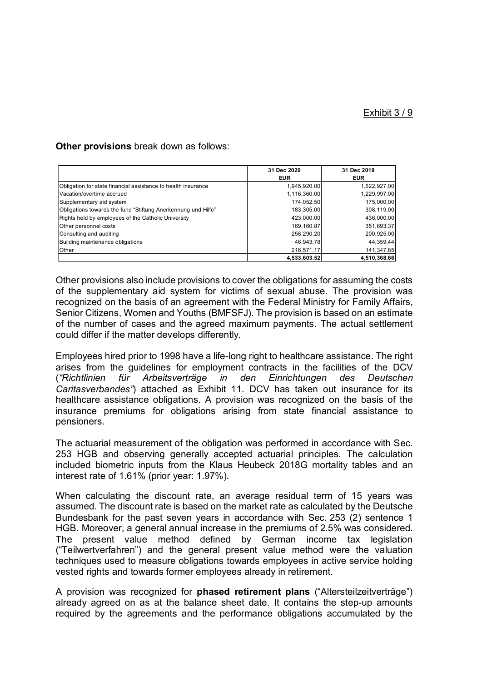#### **Other provisions** break down as follows:

|                                                               | 31 Dec 2020  | 31 Dec 2019  |
|---------------------------------------------------------------|--------------|--------------|
|                                                               | <b>EUR</b>   | <b>EUR</b>   |
| Obligation for state financial assistance to health insurance | 1,945,920.00 | 1,622,927.00 |
| Vacation/overtime accrued                                     | 1,116,360.00 | 1,229,997.00 |
| Supplementary aid system                                      | 174,052.50   | 175,000.00   |
| Obligations towards the fund "Stiftung Anerkennung und Hilfe" | 183,305.00   | 308,119.00   |
| Rights held by employees of the Catholic University           | 423,000.00   | 436,000.00   |
| Other personnel costs                                         | 169,160.87   | 351,693.37   |
| Consulting and auditing                                       | 258,290.20   | 200,925.00   |
| Building maintenance obligations                              | 46,943.78    | 44,359.44    |
| Other                                                         | 216,571.17   | 141,347.85   |
|                                                               | 4,533,603.52 | 4,510,368.66 |

Other provisions also include provisions to cover the obligations for assuming the costs of the supplementary aid system for victims of sexual abuse. The provision was recognized on the basis of an agreement with the Federal Ministry for Family Affairs, Senior Citizens, Women and Youths (BMFSFJ). The provision is based on an estimate of the number of cases and the agreed maximum payments. The actual settlement could differ if the matter develops differently.

Employees hired prior to 1998 have a life-long right to healthcare assistance. The right arises from the guidelines for employment contracts in the facilities of the DCV (*"Richtlinien für Arbeitsverträge in den Einrichtungen des Deutschen Caritasverbandes"*) attached as Exhibit 11. DCV has taken out insurance for its healthcare assistance obligations. A provision was recognized on the basis of the insurance premiums for obligations arising from state financial assistance to pensioners.

The actuarial measurement of the obligation was performed in accordance with Sec. 253 HGB and observing generally accepted actuarial principles. The calculation included biometric inputs from the Klaus Heubeck 2018G mortality tables and an interest rate of 1.61% (prior year: 1.97%).

When calculating the discount rate, an average residual term of 15 years was assumed. The discount rate is based on the market rate as calculated by the Deutsche Bundesbank for the past seven years in accordance with Sec. 253 (2) sentence 1 HGB. Moreover, a general annual increase in the premiums of 2.5% was considered. The present value method defined by German income tax legislation ("Teilwertverfahren") and the general present value method were the valuation techniques used to measure obligations towards employees in active service holding vested rights and towards former employees already in retirement.

A provision was recognized for **phased retirement plans** ("Altersteilzeitverträge") already agreed on as at the balance sheet date. It contains the step-up amounts required by the agreements and the performance obligations accumulated by the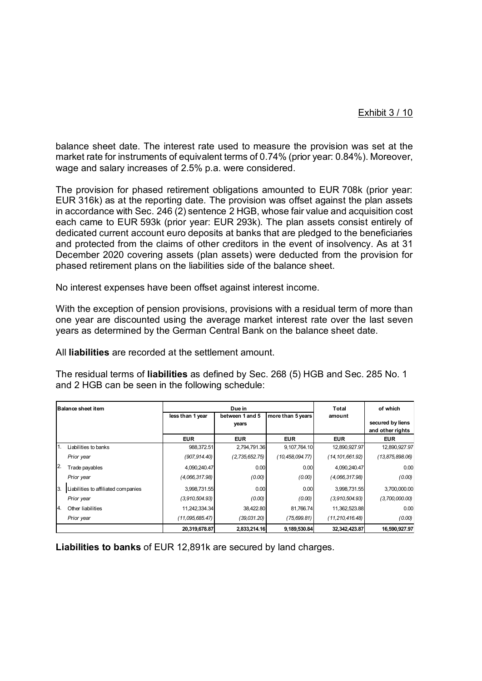balance sheet date. The interest rate used to measure the provision was set at the market rate for instruments of equivalent terms of 0.74% (prior year: 0.84%). Moreover, wage and salary increases of 2.5% p.a. were considered.

The provision for phased retirement obligations amounted to EUR 708k (prior year: EUR 316k) as at the reporting date. The provision was offset against the plan assets in accordance with Sec. 246 (2) sentence 2 HGB, whose fair value and acquisition cost each came to EUR 593k (prior year: EUR 293k). The plan assets consist entirely of dedicated current account euro deposits at banks that are pledged to the beneficiaries and protected from the claims of other creditors in the event of insolvency. As at 31 December 2020 covering assets (plan assets) were deducted from the provision for phased retirement plans on the liabilities side of the balance sheet.

No interest expenses have been offset against interest income.

With the exception of pension provisions, provisions with a residual term of more than one year are discounted using the average market interest rate over the last seven years as determined by the German Central Bank on the balance sheet date.

All **liabilities** are recorded at the settlement amount.

The residual terms of **liabilities** as defined by Sec. 268 (5) HGB and Sec. 285 No. 1 and 2 HGB can be seen in the following schedule:

| <b>Balance sheet item</b> |                                     | Due in           |                 |                   | Total              | of which          |
|---------------------------|-------------------------------------|------------------|-----------------|-------------------|--------------------|-------------------|
|                           |                                     | less than 1 year | between 1 and 5 | more than 5 years | amount             |                   |
|                           |                                     |                  | years           |                   |                    | secured by liens  |
|                           |                                     |                  |                 |                   |                    | and other rights  |
|                           |                                     | <b>EUR</b>       | <b>EUR</b>      | <b>EUR</b>        | <b>EUR</b>         | <b>EUR</b>        |
| 1.                        | Liabilities to banks                | 988,372.51       | 2,794,791.36    | 9,107,764.10      | 12,890,927.97      | 12,890,927.97     |
|                           | Prior year                          | (907,914.40)     | (2,735,652.75)  | (10,458,094.77)   | (14, 101, 661.92)  | (13, 875, 898.06) |
| 12.                       | Trade payables                      | 4,090,240.47     | 0.00            | 0.00              | 4.090.240.47       | 0.00              |
|                           | Prior vear                          | (4.066, 317.98)  | (0.00)          | (0.00)            | (4.066, 317.98)    | (0.00)            |
| 3.                        | Liabilities to affiliated companies | 3,998,731.55     | 0.00            | 0.00              | 3,998,731.55       | 3,700,000.00      |
|                           | Prior year                          | (3,910,504.93)   | (0.00)          | (0.00)            | (3,910,504.93)     | (3,700,000.00)    |
| 14.                       | Other liabilities                   | 11,242,334.34    | 38,422.80       | 81,766.74         | 11,362,523.88      | 0.00              |
|                           | Prior year                          | (11,095,685.47)  | (39,031,20)     | (75, 699.81)      | (11, 210, 416, 48) | (0.00)            |
|                           |                                     | 20,319,678.87    | 2,833,214.16    | 9,189,530.84      | 32, 342, 423.87    | 16,590,927.97     |

**Liabilities to banks** of EUR 12,891k are secured by land charges.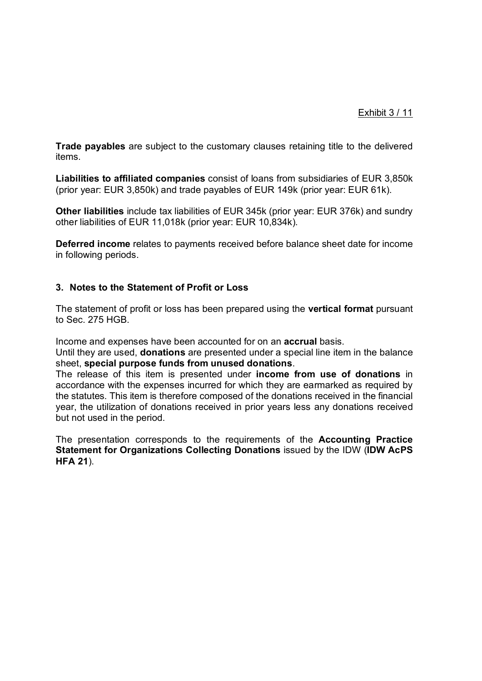# Exhibit 3 / 11

**Trade payables** are subject to the customary clauses retaining title to the delivered items.

**Liabilities to affiliated companies** consist of loans from subsidiaries of EUR 3,850k (prior year: EUR 3,850k) and trade payables of EUR 149k (prior year: EUR 61k).

**Other liabilities** include tax liabilities of EUR 345k (prior year: EUR 376k) and sundry other liabilities of EUR 11,018k (prior year: EUR 10,834k).

**Deferred income** relates to payments received before balance sheet date for income in following periods.

# **3. Notes to the Statement of Profit or Loss**

The statement of profit or loss has been prepared using the **vertical format** pursuant to Sec. 275 HGB.

Income and expenses have been accounted for on an **accrual** basis.

Until they are used, **donations** are presented under a special line item in the balance sheet, **special purpose funds from unused donations**.

The release of this item is presented under **income from use of donations** in accordance with the expenses incurred for which they are earmarked as required by the statutes. This item is therefore composed of the donations received in the financial year, the utilization of donations received in prior years less any donations received but not used in the period.

The presentation corresponds to the requirements of the **Accounting Practice Statement for Organizations Collecting Donations** issued by the IDW (**IDW AcPS HFA 21**).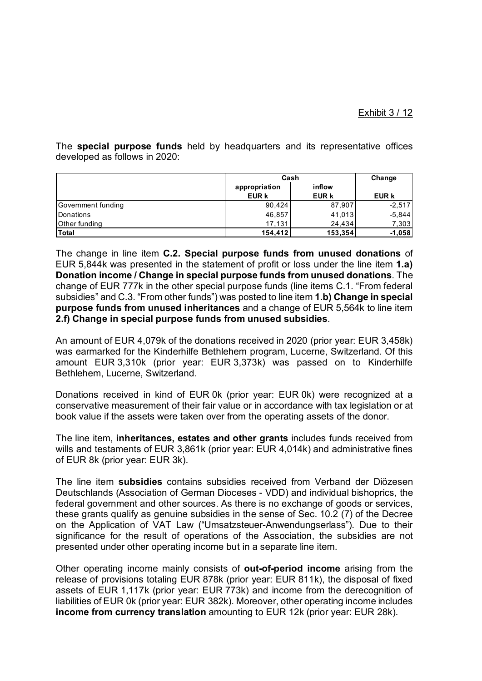The **special purpose funds** held by headquarters and its representative offices developed as follows in 2020:

|                    | Cash          | Change  |              |
|--------------------|---------------|---------|--------------|
|                    | appropriation | inflow  |              |
|                    | <b>EUR k</b>  | EUR k   | <b>EUR k</b> |
| Government funding | 90.424        | 87,907  | $-2.517$     |
| Donations          | 46,857        | 41,013  | $-5,844$     |
| Other funding      | 17.131        | 24.434  | 7,303        |
| <b>Total</b>       | 154,412       | 153,354 | $-1,058$     |

The change in line item **C.2. Special purpose funds from unused donations** of EUR 5,844k was presented in the statement of profit or loss under the line item **1.a) Donation income / Change in special purpose funds from unused donations**. The change of EUR 777k in the other special purpose funds (line items C.1. "From federal subsidies" and C.3. "From other funds") was posted to line item **1.b) Change in special purpose funds from unused inheritances** and a change of EUR 5,564k to line item **2.f) Change in special purpose funds from unused subsidies**.

An amount of EUR 4,079k of the donations received in 2020 (prior year: EUR 3,458k) was earmarked for the Kinderhilfe Bethlehem program, Lucerne, Switzerland. Of this amount EUR 3,310k (prior year: EUR 3,373k) was passed on to Kinderhilfe Bethlehem, Lucerne, Switzerland.

Donations received in kind of EUR 0k (prior year: EUR 0k) were recognized at a conservative measurement of their fair value or in accordance with tax legislation or at book value if the assets were taken over from the operating assets of the donor.

The line item, **inheritances, estates and other grants** includes funds received from wills and testaments of EUR 3,861k (prior year: EUR 4,014k) and administrative fines of EUR 8k (prior year: EUR 3k).

The line item **subsidies** contains subsidies received from Verband der Diözesen Deutschlands (Association of German Dioceses - VDD) and individual bishoprics, the federal government and other sources. As there is no exchange of goods or services, these grants qualify as genuine subsidies in the sense of Sec. 10.2 (7) of the Decree on the Application of VAT Law ("Umsatzsteuer-Anwendungserlass"). Due to their significance for the result of operations of the Association, the subsidies are not presented under other operating income but in a separate line item.

Other operating income mainly consists of **out-of-period income** arising from the release of provisions totaling EUR 878k (prior year: EUR 811k), the disposal of fixed assets of EUR 1,117k (prior year: EUR 773k) and income from the derecognition of liabilities of EUR 0k (prior year: EUR 382k). Moreover, other operating income includes **income from currency translation** amounting to EUR 12k (prior year: EUR 28k).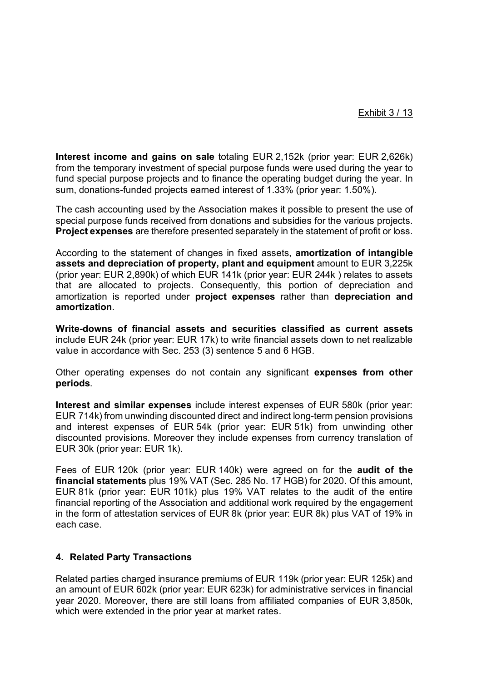**Interest income and gains on sale** totaling EUR 2,152k (prior year: EUR 2,626k) from the temporary investment of special purpose funds were used during the year to fund special purpose projects and to finance the operating budget during the year. In sum, donations-funded projects earned interest of 1.33% (prior year: 1.50%).

The cash accounting used by the Association makes it possible to present the use of special purpose funds received from donations and subsidies for the various projects. **Project expenses** are therefore presented separately in the statement of profit or loss.

According to the statement of changes in fixed assets, **amortization of intangible assets and depreciation of property, plant and equipment** amount to EUR 3,225k (prior year: EUR 2,890k) of which EUR 141k (prior year: EUR 244k ) relates to assets that are allocated to projects. Consequently, this portion of depreciation and amortization is reported under **project expenses** rather than **depreciation and amortization**.

**Write-downs of financial assets and securities classified as current assets** include EUR 24k (prior year: EUR 17k) to write financial assets down to net realizable value in accordance with Sec. 253 (3) sentence 5 and 6 HGB.

Other operating expenses do not contain any significant **expenses from other periods**.

**Interest and similar expenses** include interest expenses of EUR 580k (prior year: EUR 714k) from unwinding discounted direct and indirect long-term pension provisions and interest expenses of EUR 54k (prior year: EUR 51k) from unwinding other discounted provisions. Moreover they include expenses from currency translation of EUR 30k (prior year: EUR 1k).

Fees of EUR 120k (prior year: EUR 140k) were agreed on for the **audit of the financial statements** plus 19% VAT (Sec. 285 No. 17 HGB) for 2020. Of this amount, EUR 81k (prior year: EUR 101k) plus 19% VAT relates to the audit of the entire financial reporting of the Association and additional work required by the engagement in the form of attestation services of EUR 8k (prior year: EUR 8k) plus VAT of 19% in each case.

# **4. Related Party Transactions**

Related parties charged insurance premiums of EUR 119k (prior year: EUR 125k) and an amount of EUR 602k (prior year: EUR 623k) for administrative services in financial year 2020. Moreover, there are still loans from affiliated companies of EUR 3,850k, which were extended in the prior year at market rates.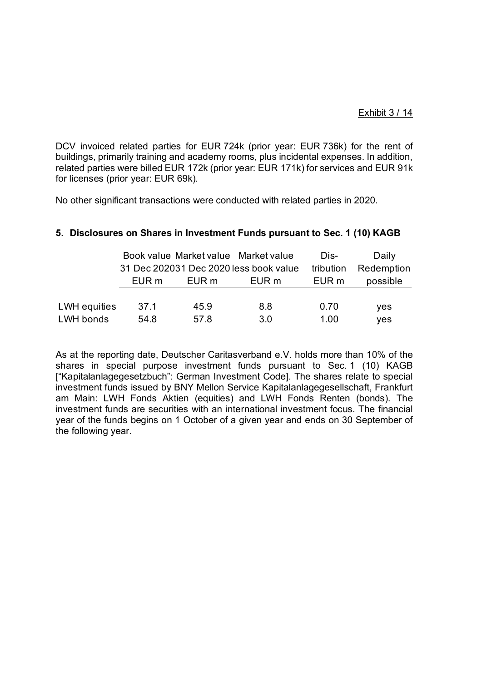# Exhibit 3 / 14

DCV invoiced related parties for EUR 724k (prior year: EUR 736k) for the rent of buildings, primarily training and academy rooms, plus incidental expenses. In addition, related parties were billed EUR 172k (prior year: EUR 171k) for services and EUR 91k for licenses (prior year: EUR 69k).

No other significant transactions were conducted with related parties in 2020.

|              |       |       | Book value Market value Market value   | Dis-      | Daily      |
|--------------|-------|-------|----------------------------------------|-----------|------------|
|              |       |       | 31 Dec 202031 Dec 2020 less book value | tribution | Redemption |
|              | EUR m | EUR m | EUR m                                  | EUR m     | possible   |
|              |       |       |                                        |           |            |
| LWH equities | 37.1  | 45.9  | 8.8                                    | 0.70      | yes        |
| LWH bonds    | 54.8  | 57.8  | 3.0                                    | 1.00      | yes        |

# **5. Disclosures on Shares in Investment Funds pursuant to Sec. 1 (10) KAGB**

As at the reporting date, Deutscher Caritasverband e.V. holds more than 10% of the shares in special purpose investment funds pursuant to Sec. 1 (10) KAGB ["Kapitalanlagegesetzbuch": German Investment Code]. The shares relate to special investment funds issued by BNY Mellon Service Kapitalanlagegesellschaft, Frankfurt am Main: LWH Fonds Aktien (equities) and LWH Fonds Renten (bonds). The investment funds are securities with an international investment focus. The financial year of the funds begins on 1 October of a given year and ends on 30 September of the following year.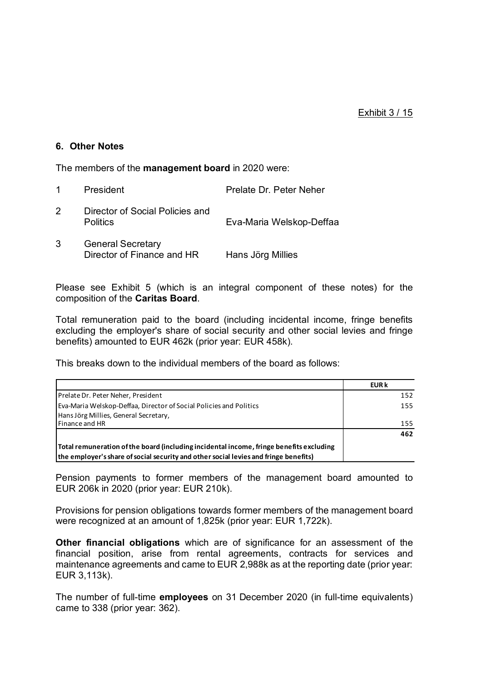## **6. Other Notes**

The members of the **management board** in 2020 were:

|   | President                                              | Prelate Dr. Peter Neher  |
|---|--------------------------------------------------------|--------------------------|
| 2 | Director of Social Policies and<br><b>Politics</b>     | Eva-Maria Welskop-Deffaa |
| 3 | <b>General Secretary</b><br>Director of Finance and HR | Hans Jörg Millies        |

Please see Exhibit 5 (which is an integral component of these notes) for the composition of the **Caritas Board**.

Total remuneration paid to the board (including incidental income, fringe benefits excluding the employer's share of social security and other social levies and fringe benefits) amounted to EUR 462k (prior year: EUR 458k).

This breaks down to the individual members of the board as follows:

|                                                                                                                                                                                 | <b>EUR k</b> |
|---------------------------------------------------------------------------------------------------------------------------------------------------------------------------------|--------------|
| Prelate Dr. Peter Neher, President                                                                                                                                              | 152          |
| <b>Eva-Maria Welskop-Deffaa, Director of Social Policies and Politics</b>                                                                                                       | 155          |
| Hans Jörg Millies, General Secretary,                                                                                                                                           |              |
| <b>Finance and HR</b>                                                                                                                                                           | 155          |
|                                                                                                                                                                                 | 462          |
| Total remuneration of the board (including incidental income, fringe benefits excluding<br>the employer's share of social security and other social levies and fringe benefits) |              |

Pension payments to former members of the management board amounted to EUR 206k in 2020 (prior year: EUR 210k).

Provisions for pension obligations towards former members of the management board were recognized at an amount of 1,825k (prior year: EUR 1,722k).

**Other financial obligations** which are of significance for an assessment of the financial position, arise from rental agreements, contracts for services and maintenance agreements and came to EUR 2,988k as at the reporting date (prior year: EUR 3,113k).

The number of full-time **employees** on 31 December 2020 (in full-time equivalents) came to 338 (prior year: 362).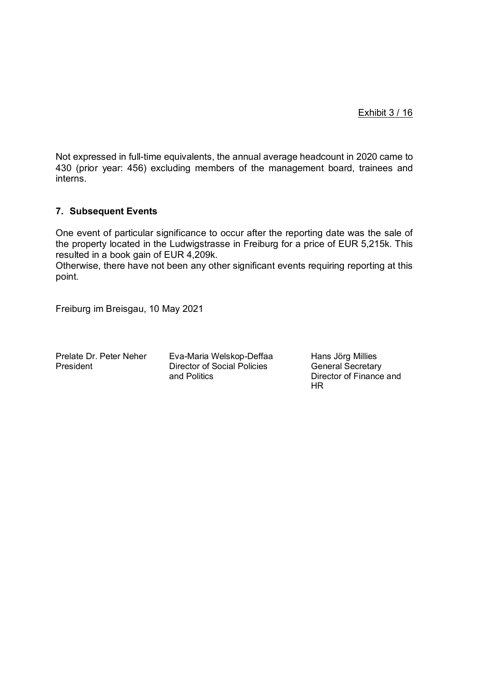Exhibit 3 / 16

Not expressed in full-time equivalents, the annual average headcount in 2020 came to 430 (prior year: 456) excluding members of the management board, trainees and interns.

# **7. Subsequent Events**

One event of particular significance to occur after the reporting date was the sale of the property located in the Ludwigstrasse in Freiburg for a price of EUR 5,215k. This resulted in a book gain of EUR 4,209k.

Otherwise, there have not been any other significant events requiring reporting at this point.

Freiburg im Breisgau, 10 May 2021

Prelate Dr. Peter Neher Eva-Maria Welskop-Deffaa Hans Jörg Millies President Director of Social Policies Cheneral Secretary<br>and Politics Director of Finance

Director of Finance and HR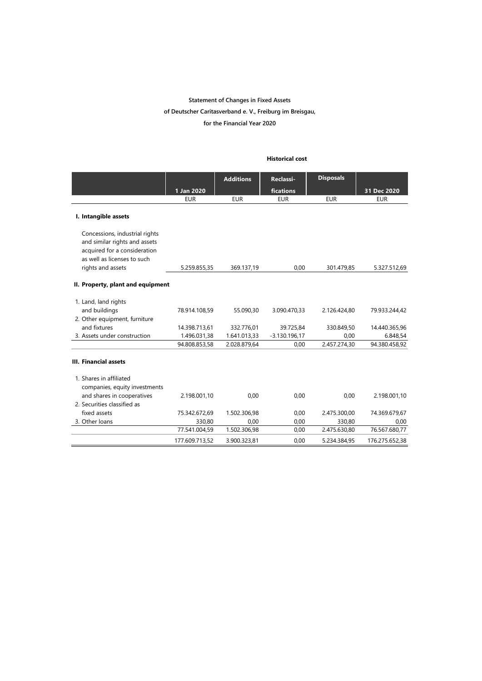#### **Statement of Changes in Fixed Assets**

#### **of Deutscher Caritasverband e. V., Freiburg im Breisgau,**

**for the Financial Year 2020**

#### **Historical cost**

|                                                                                                                                |                | <b>Additions</b> | Reclassi-       | <b>Disposals</b> |                |
|--------------------------------------------------------------------------------------------------------------------------------|----------------|------------------|-----------------|------------------|----------------|
|                                                                                                                                | 1 Jan 2020     |                  | fications       |                  | 31 Dec 2020    |
|                                                                                                                                | <b>EUR</b>     | <b>EUR</b>       | <b>EUR</b>      | <b>EUR</b>       | <b>EUR</b>     |
| I. Intangible assets                                                                                                           |                |                  |                 |                  |                |
| Concessions, industrial rights<br>and similar rights and assets<br>acquired for a consideration<br>as well as licenses to such |                |                  |                 |                  |                |
| rights and assets                                                                                                              | 5.259.855,35   | 369.137,19       | 0,00            | 301.479,85       | 5.327.512,69   |
| II. Property, plant and equipment                                                                                              |                |                  |                 |                  |                |
| 1. Land, land rights                                                                                                           |                |                  |                 |                  |                |
| and buildings                                                                                                                  | 78.914.108,59  | 55.090,30        | 3.090.470,33    | 2.126.424,80     | 79.933.244,42  |
| 2. Other equipment, furniture                                                                                                  |                |                  |                 |                  |                |
| and fixtures                                                                                                                   | 14.398.713,61  | 332.776,01       | 39.725,84       | 330.849,50       | 14.440.365,96  |
| 3. Assets under construction                                                                                                   | 1.496.031,38   | 1.641.013,33     | $-3.130.196,17$ | 0.00             | 6.848,54       |
|                                                                                                                                | 94.808.853,58  | 2.028.879,64     | 0,00            | 2.457.274,30     | 94.380.458,92  |
| <b>III. Financial assets</b>                                                                                                   |                |                  |                 |                  |                |
| 1. Shares in affiliated<br>companies, equity investments                                                                       |                |                  |                 |                  |                |
| and shares in cooperatives                                                                                                     | 2.198.001,10   | 0,00             | 0,00            | 0.00             | 2.198.001,10   |
| 2. Securities classified as                                                                                                    |                |                  |                 |                  |                |
| fixed assets                                                                                                                   | 75.342.672,69  | 1.502.306,98     | 0.00            | 2.475.300,00     | 74.369.679,67  |
| 3. Other loans                                                                                                                 | 330,80         | 0,00             | 0,00            | 330,80           | 0,00           |
|                                                                                                                                | 77.541.004,59  | 1.502.306,98     | 0,00            | 2.475.630,80     | 76.567.680,77  |
|                                                                                                                                | 177.609.713,52 | 3.900.323,81     | 0,00            | 5.234.384,95     | 176.275.652,38 |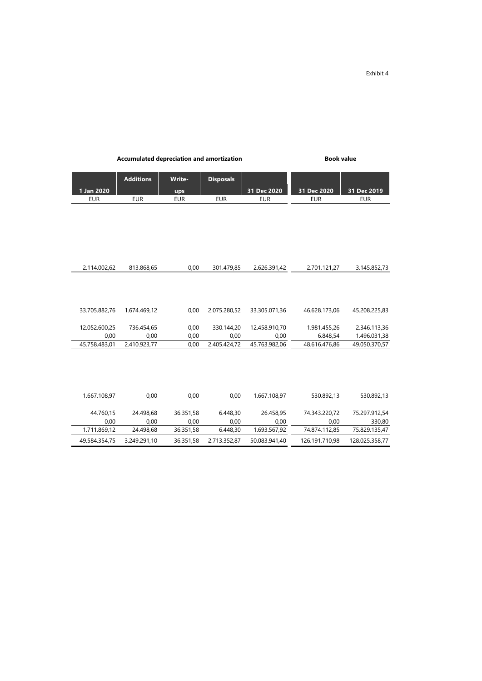Exhibit 4

|               | <b>Additions</b> | Write-     | <b>Disposals</b> |               |                |                |
|---------------|------------------|------------|------------------|---------------|----------------|----------------|
| 1 Jan 2020    |                  | ups        |                  | 31 Dec 2020   | 31 Dec 2020    | 31 Dec 2019    |
| <b>EUR</b>    | <b>EUR</b>       | <b>EUR</b> | <b>EUR</b>       | <b>EUR</b>    | <b>EUR</b>     | <b>EUR</b>     |
|               |                  |            |                  |               |                |                |
|               |                  |            |                  |               |                |                |
|               |                  |            |                  |               |                |                |
|               |                  |            |                  |               |                |                |
|               |                  |            |                  |               |                |                |
| 2.114.002,62  | 813.868,65       | 0,00       | 301.479,85       | 2.626.391,42  | 2.701.121,27   | 3.145.852,73   |
|               |                  |            |                  |               |                |                |
| 33.705.882,76 | 1.674.469,12     | 0,00       | 2.075.280,52     | 33.305.071,36 | 46.628.173,06  | 45.208.225,83  |
| 12.052.600,25 | 736.454,65       | 0,00       | 330.144,20       | 12.458.910,70 | 1.981.455,26   | 2.346.113,36   |
| 0,00          | 0,00             | 0,00       | 0,00             | 0,00          | 6.848,54       | 1.496.031,38   |
| 45.758.483,01 | 2.410.923,77     | 0,00       | 2.405.424,72     | 45.763.982.06 | 48.616.476,86  | 49.050.370,57  |
|               |                  |            |                  |               |                |                |
| 1.667.108,97  | 0,00             | 0,00       | 0,00             | 1.667.108,97  | 530.892,13     | 530.892,13     |
| 44.760,15     | 24.498,68        | 36.351,58  | 6.448,30         | 26.458,95     | 74.343.220,72  | 75.297.912,54  |
| 0,00          | 0,00             | 0,00       | 0,00             | 0,00          | 0,00           | 330,80         |
| 1.711.869,12  | 24.498,68        | 36.351,58  | 6.448,30         | 1.693.567,92  | 74.874.112,85  | 75.829.135,47  |
| 49.584.354.75 | 3.249.291,10     | 36.351,58  | 2.713.352,87     | 50.083.941.40 | 126.191.710,98 | 128.025.358,77 |

Accumulated depreciation and amortization **Book value**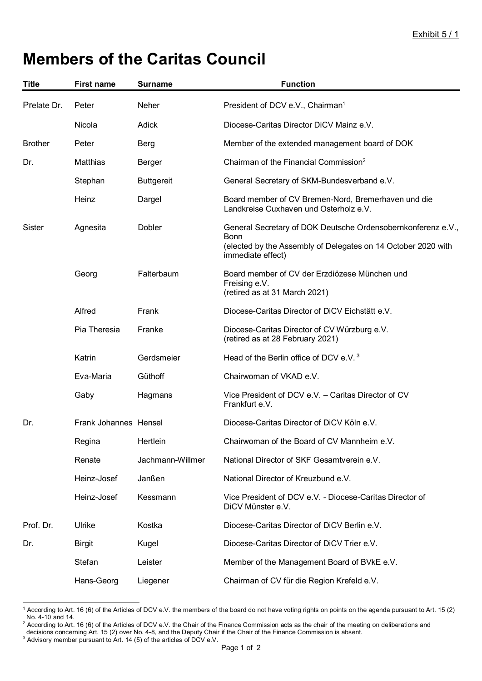# **Members of the Caritas Council**

| <b>Title</b>   | <b>First name</b>     | <b>Surname</b>    | <b>Function</b>                                                                                                                                            |
|----------------|-----------------------|-------------------|------------------------------------------------------------------------------------------------------------------------------------------------------------|
| Prelate Dr.    | Peter                 | Neher             | President of DCV e.V., Chairman <sup>1</sup>                                                                                                               |
|                | Nicola                | Adick             | Diocese-Caritas Director DiCV Mainz e.V.                                                                                                                   |
| <b>Brother</b> | Peter                 | <b>Berg</b>       | Member of the extended management board of DOK                                                                                                             |
| Dr.            | Matthias              | Berger            | Chairman of the Financial Commission <sup>2</sup>                                                                                                          |
|                | Stephan               | <b>Buttgereit</b> | General Secretary of SKM-Bundesverband e.V.                                                                                                                |
|                | Heinz                 | Dargel            | Board member of CV Bremen-Nord, Bremerhaven und die<br>Landkreise Cuxhaven und Osterholz e.V.                                                              |
| Sister         | Agnesita              | Dobler            | General Secretary of DOK Deutsche Ordensobernkonferenz e.V.,<br>Bonn<br>(elected by the Assembly of Delegates on 14 October 2020 with<br>immediate effect) |
|                | Georg                 | Falterbaum        | Board member of CV der Erzdiözese München und<br>Freising e.V.<br>(retired as at 31 March 2021)                                                            |
|                | Alfred                | Frank             | Diocese-Caritas Director of DiCV Eichstätt e.V.                                                                                                            |
|                | Pia Theresia          | Franke            | Diocese-Caritas Director of CV Würzburg e.V.<br>(retired as at 28 February 2021)                                                                           |
|                | Katrin                | Gerdsmeier        | Head of the Berlin office of DCV e.V. <sup>3</sup>                                                                                                         |
|                | Eva-Maria             | Güthoff           | Chairwoman of VKAD e.V.                                                                                                                                    |
|                | Gaby                  | Hagmans           | Vice President of DCV e.V. - Caritas Director of CV<br>Frankfurt e.V.                                                                                      |
| Dr.            | Frank Johannes Hensel |                   | Diocese-Caritas Director of DiCV Köln e.V.                                                                                                                 |
|                | Regina                | Hertlein          | Chairwoman of the Board of CV Mannheim e.V.                                                                                                                |
|                | Renate                | Jachmann-Willmer  | National Director of SKF Gesamtverein e.V.                                                                                                                 |
|                | Heinz-Josef           | Janßen            | National Director of Kreuzbund e.V.                                                                                                                        |
|                | Heinz-Josef           | Kessmann          | Vice President of DCV e.V. - Diocese-Caritas Director of<br>DiCV Münster e.V.                                                                              |
| Prof. Dr.      | Ulrike                | Kostka            | Diocese-Caritas Director of DiCV Berlin e.V.                                                                                                               |
| Dr.            | <b>Birgit</b>         | Kugel             | Diocese-Caritas Director of DiCV Trier e.V.                                                                                                                |
|                | Stefan                | Leister           | Member of the Management Board of BVkE e.V.                                                                                                                |
|                | Hans-Georg            | Liegener          | Chairman of CV für die Region Krefeld e.V.                                                                                                                 |

<sup>1</sup> According to Art. 16 (6) of the Articles of DCV e.V. the members of the board do not have voting rights on points on the agenda pursuant to Art. 15 (2) No. 4-10 and 14.

 $^2$  According to Art. 16 (6) of the Articles of DCV e.V. the Chair of the Finance Commission acts as the chair of the meeting on deliberations and decisions concerning Art. 15 (2) over No. 4-8, and the Deputy Chair if the Chair of the Finance Commission is absent.<br><sup>3</sup> Advisory member pursuant to Art. 14 (5) of the articles of DCV e.V.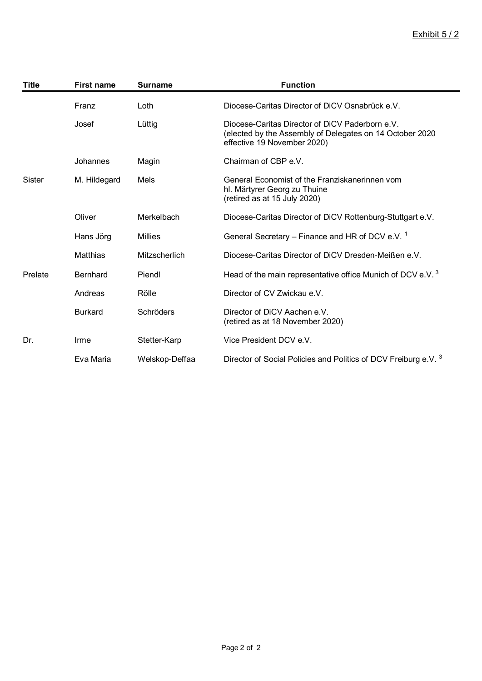# Exhibit 5 / 2

| <b>Title</b> | <b>First name</b> | <b>Surname</b> | <b>Function</b>                                                                                                                            |
|--------------|-------------------|----------------|--------------------------------------------------------------------------------------------------------------------------------------------|
|              | Franz             | Loth           | Diocese-Caritas Director of DiCV Osnabrück e.V.                                                                                            |
|              | Josef             | Lüttig         | Diocese-Caritas Director of DiCV Paderborn e.V.<br>(elected by the Assembly of Delegates on 14 October 2020<br>effective 19 November 2020) |
|              | Johannes          | Magin          | Chairman of CBP e.V.                                                                                                                       |
| Sister       | M. Hildegard      | Mels           | General Economist of the Franziskanerinnen vom<br>hl. Märtyrer Georg zu Thuine<br>(retired as at 15 July 2020)                             |
|              | Oliver            | Merkelbach     | Diocese-Caritas Director of DiCV Rottenburg-Stuttgart e.V.                                                                                 |
|              | Hans Jörg         | Millies        | General Secretary – Finance and HR of DCV e.V. <sup>1</sup>                                                                                |
|              | Matthias          | Mitzscherlich  | Diocese-Caritas Director of DiCV Dresden-Meißen e.V.                                                                                       |
| Prelate      | <b>Bernhard</b>   | Piendl         | Head of the main representative office Munich of DCV e.V. <sup>3</sup>                                                                     |
|              | Andreas           | Rölle          | Director of CV Zwickau e.V.                                                                                                                |
|              | <b>Burkard</b>    | Schröders      | Director of DiCV Aachen e.V.<br>(retired as at 18 November 2020)                                                                           |
| Dr.          | Irme              | Stetter-Karp   | Vice President DCV e.V.                                                                                                                    |
|              | Eva Maria         | Welskop-Deffaa | Director of Social Policies and Politics of DCV Freiburg e.V. 3                                                                            |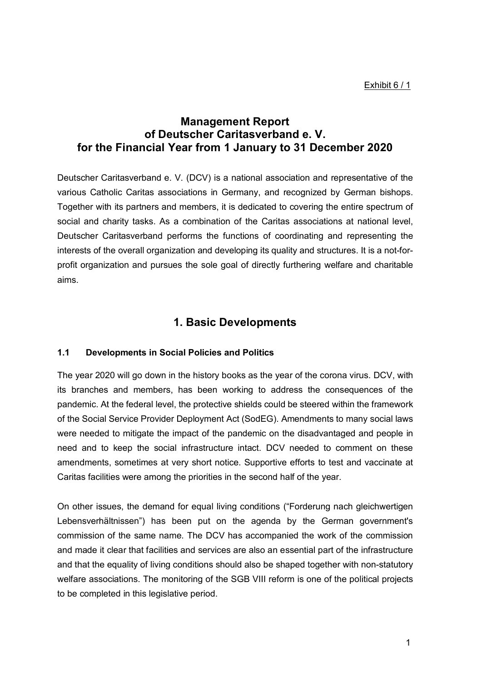# **Management Report of Deutscher Caritasverband e. V. for the Financial Year from 1 January to 31 December 2020**

Deutscher Caritasverband e. V. (DCV) is a national association and representative of the various Catholic Caritas associations in Germany, and recognized by German bishops. Together with its partners and members, it is dedicated to covering the entire spectrum of social and charity tasks. As a combination of the Caritas associations at national level, Deutscher Caritasverband performs the functions of coordinating and representing the interests of the overall organization and developing its quality and structures. It is a not-forprofit organization and pursues the sole goal of directly furthering welfare and charitable aims.

# **1. Basic Developments**

# **1.1 Developments in Social Policies and Politics**

The year 2020 will go down in the history books as the year of the corona virus. DCV, with its branches and members, has been working to address the consequences of the pandemic. At the federal level, the protective shields could be steered within the framework of the Social Service Provider Deployment Act (SodEG). Amendments to many social laws were needed to mitigate the impact of the pandemic on the disadvantaged and people in need and to keep the social infrastructure intact. DCV needed to comment on these amendments, sometimes at very short notice. Supportive efforts to test and vaccinate at Caritas facilities were among the priorities in the second half of the year.

On other issues, the demand for equal living conditions ("Forderung nach gleichwertigen Lebensverhältnissen") has been put on the agenda by the German government's commission of the same name. The DCV has accompanied the work of the commission and made it clear that facilities and services are also an essential part of the infrastructure and that the equality of living conditions should also be shaped together with non-statutory welfare associations. The monitoring of the SGB VIII reform is one of the political projects to be completed in this legislative period.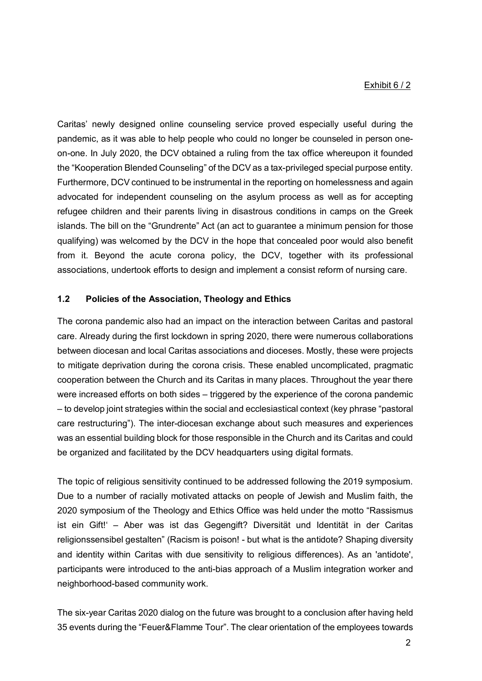## Exhibit 6 / 2

Caritas' newly designed online counseling service proved especially useful during the pandemic, as it was able to help people who could no longer be counseled in person oneon-one. In July 2020, the DCV obtained a ruling from the tax office whereupon it founded the "Kooperation Blended Counseling" of the DCV as a tax-privileged special purpose entity. Furthermore, DCV continued to be instrumental in the reporting on homelessness and again advocated for independent counseling on the asylum process as well as for accepting refugee children and their parents living in disastrous conditions in camps on the Greek islands. The bill on the "Grundrente" Act (an act to guarantee a minimum pension for those qualifying) was welcomed by the DCV in the hope that concealed poor would also benefit from it. Beyond the acute corona policy, the DCV, together with its professional associations, undertook efforts to design and implement a consist reform of nursing care.

# **1.2 Policies of the Association, Theology and Ethics**

The corona pandemic also had an impact on the interaction between Caritas and pastoral care. Already during the first lockdown in spring 2020, there were numerous collaborations between diocesan and local Caritas associations and dioceses. Mostly, these were projects to mitigate deprivation during the corona crisis. These enabled uncomplicated, pragmatic cooperation between the Church and its Caritas in many places. Throughout the year there were increased efforts on both sides – triggered by the experience of the corona pandemic – to develop joint strategies within the social and ecclesiastical context (key phrase "pastoral care restructuring"). The inter-diocesan exchange about such measures and experiences was an essential building block for those responsible in the Church and its Caritas and could be organized and facilitated by the DCV headquarters using digital formats.

The topic of religious sensitivity continued to be addressed following the 2019 symposium. Due to a number of racially motivated attacks on people of Jewish and Muslim faith, the 2020 symposium of the Theology and Ethics Office was held under the motto "Rassismus ist ein Gift!' – Aber was ist das Gegengift? Diversität und Identität in der Caritas religionssensibel gestalten" (Racism is poison! - but what is the antidote? Shaping diversity and identity within Caritas with due sensitivity to religious differences). As an 'antidote', participants were introduced to the anti-bias approach of a Muslim integration worker and neighborhood-based community work.

The six-year Caritas 2020 dialog on the future was brought to a conclusion after having held 35 events during the "Feuer&Flamme Tour". The clear orientation of the employees towards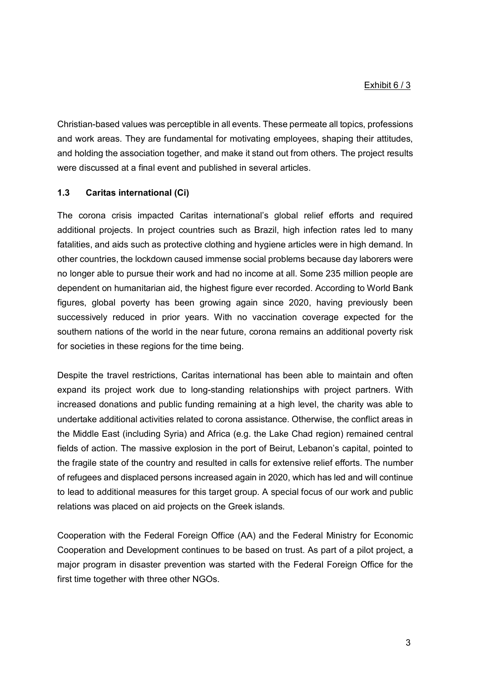Christian-based values was perceptible in all events. These permeate all topics, professions and work areas. They are fundamental for motivating employees, shaping their attitudes, and holding the association together, and make it stand out from others. The project results were discussed at a final event and published in several articles.

# **1.3 Caritas international (Ci)**

The corona crisis impacted Caritas international's global relief efforts and required additional projects. In project countries such as Brazil, high infection rates led to many fatalities, and aids such as protective clothing and hygiene articles were in high demand. In other countries, the lockdown caused immense social problems because day laborers were no longer able to pursue their work and had no income at all. Some 235 million people are dependent on humanitarian aid, the highest figure ever recorded. According to World Bank figures, global poverty has been growing again since 2020, having previously been successively reduced in prior years. With no vaccination coverage expected for the southern nations of the world in the near future, corona remains an additional poverty risk for societies in these regions for the time being.

Despite the travel restrictions, Caritas international has been able to maintain and often expand its project work due to long-standing relationships with project partners. With increased donations and public funding remaining at a high level, the charity was able to undertake additional activities related to corona assistance. Otherwise, the conflict areas in the Middle East (including Syria) and Africa (e.g. the Lake Chad region) remained central fields of action. The massive explosion in the port of Beirut, Lebanon's capital, pointed to the fragile state of the country and resulted in calls for extensive relief efforts. The number of refugees and displaced persons increased again in 2020, which has led and will continue to lead to additional measures for this target group. A special focus of our work and public relations was placed on aid projects on the Greek islands.

Cooperation with the Federal Foreign Office (AA) and the Federal Ministry for Economic Cooperation and Development continues to be based on trust. As part of a pilot project, a major program in disaster prevention was started with the Federal Foreign Office for the first time together with three other NGOs.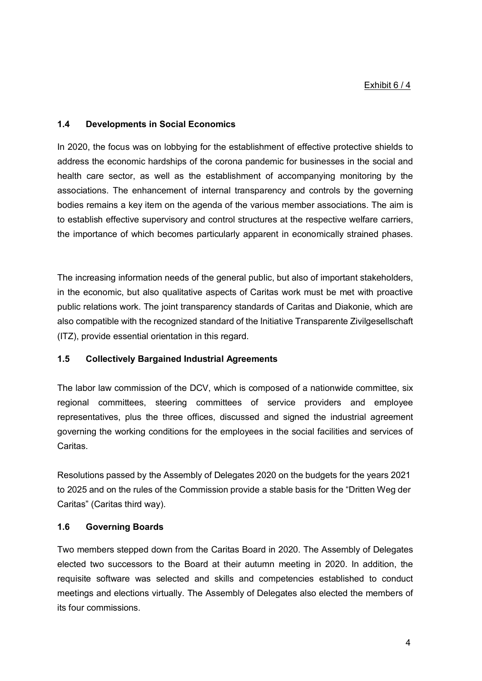## **1.4 Developments in Social Economics**

In 2020, the focus was on lobbying for the establishment of effective protective shields to address the economic hardships of the corona pandemic for businesses in the social and health care sector, as well as the establishment of accompanying monitoring by the associations. The enhancement of internal transparency and controls by the governing bodies remains a key item on the agenda of the various member associations. The aim is to establish effective supervisory and control structures at the respective welfare carriers, the importance of which becomes particularly apparent in economically strained phases.

The increasing information needs of the general public, but also of important stakeholders, in the economic, but also qualitative aspects of Caritas work must be met with proactive public relations work. The joint transparency standards of Caritas and Diakonie, which are also compatible with the recognized standard of the Initiative Transparente Zivilgesellschaft (ITZ), provide essential orientation in this regard.

# **1.5 Collectively Bargained Industrial Agreements**

The labor law commission of the DCV, which is composed of a nationwide committee, six regional committees, steering committees of service providers and employee representatives, plus the three offices, discussed and signed the industrial agreement governing the working conditions for the employees in the social facilities and services of **Caritas** 

Resolutions passed by the Assembly of Delegates 2020 on the budgets for the years 2021 to 2025 and on the rules of the Commission provide a stable basis for the "Dritten Weg der Caritas" (Caritas third way).

# **1.6 Governing Boards**

Two members stepped down from the Caritas Board in 2020. The Assembly of Delegates elected two successors to the Board at their autumn meeting in 2020. In addition, the requisite software was selected and skills and competencies established to conduct meetings and elections virtually. The Assembly of Delegates also elected the members of its four commissions.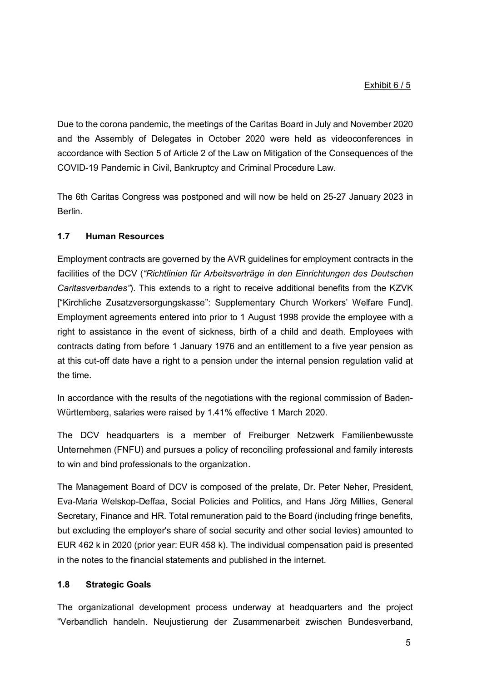Due to the corona pandemic, the meetings of the Caritas Board in July and November 2020 and the Assembly of Delegates in October 2020 were held as videoconferences in accordance with Section 5 of Article 2 of the Law on Mitigation of the Consequences of the COVID-19 Pandemic in Civil, Bankruptcy and Criminal Procedure Law.

The 6th Caritas Congress was postponed and will now be held on 25-27 January 2023 in Berlin.

# **1.7 Human Resources**

Employment contracts are governed by the AVR guidelines for employment contracts in the facilities of the DCV (*"Richtlinien für Arbeitsverträge in den Einrichtungen des Deutschen Caritasverbandes"*). This extends to a right to receive additional benefits from the KZVK ["Kirchliche Zusatzversorgungskasse": Supplementary Church Workers' Welfare Fund]. Employment agreements entered into prior to 1 August 1998 provide the employee with a right to assistance in the event of sickness, birth of a child and death. Employees with contracts dating from before 1 January 1976 and an entitlement to a five year pension as at this cut-off date have a right to a pension under the internal pension regulation valid at the time.

In accordance with the results of the negotiations with the regional commission of Baden-Württemberg, salaries were raised by 1.41% effective 1 March 2020.

The DCV headquarters is a member of Freiburger Netzwerk Familienbewusste Unternehmen (FNFU) and pursues a policy of reconciling professional and family interests to win and bind professionals to the organization.

The Management Board of DCV is composed of the prelate, Dr. Peter Neher, President, Eva-Maria Welskop-Deffaa, Social Policies and Politics, and Hans Jörg Millies, General Secretary, Finance and HR. Total remuneration paid to the Board (including fringe benefits, but excluding the employer's share of social security and other social levies) amounted to EUR 462 k in 2020 (prior year: EUR 458 k). The individual compensation paid is presented in the notes to the financial statements and published in the internet.

# **1.8 Strategic Goals**

The organizational development process underway at headquarters and the project "Verbandlich handeln. Neujustierung der Zusammenarbeit zwischen Bundesverband,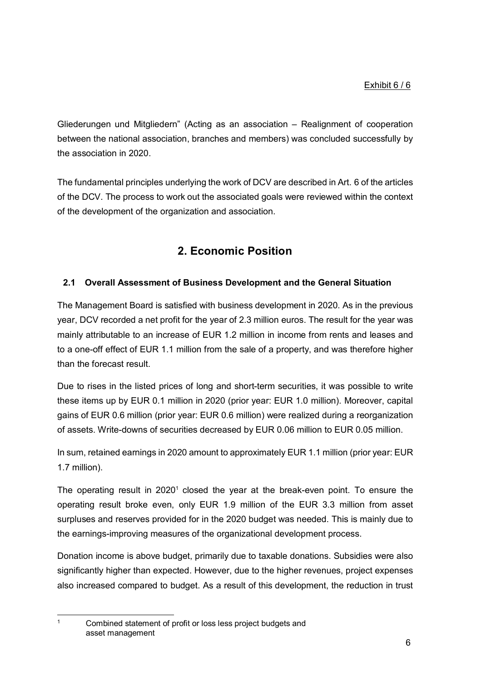Gliederungen und Mitgliedern" (Acting as an association – Realignment of cooperation between the national association, branches and members) was concluded successfully by the association in 2020.

The fundamental principles underlying the work of DCV are described in Art. 6 of the articles of the DCV. The process to work out the associated goals were reviewed within the context of the development of the organization and association.

# **2. Economic Position**

# **2.1 Overall Assessment of Business Development and the General Situation**

The Management Board is satisfied with business development in 2020. As in the previous year, DCV recorded a net profit for the year of 2.3 million euros. The result for the year was mainly attributable to an increase of EUR 1.2 million in income from rents and leases and to a one-off effect of EUR 1.1 million from the sale of a property, and was therefore higher than the forecast result.

Due to rises in the listed prices of long and short-term securities, it was possible to write these items up by EUR 0.1 million in 2020 (prior year: EUR 1.0 million). Moreover, capital gains of EUR 0.6 million (prior year: EUR 0.6 million) were realized during a reorganization of assets. Write-downs of securities decreased by EUR 0.06 million to EUR 0.05 million.

In sum, retained earnings in 2020 amount to approximately EUR 1.1 million (prior year: EUR 1.7 million).

The operating result in  $2020<sup>1</sup>$  closed the year at the break-even point. To ensure the operating result broke even, only EUR 1.9 million of the EUR 3.3 million from asset surpluses and reserves provided for in the 2020 budget was needed. This is mainly due to the earnings-improving measures of the organizational development process.

Donation income is above budget, primarily due to taxable donations. Subsidies were also significantly higher than expected. However, due to the higher revenues, project expenses also increased compared to budget. As a result of this development, the reduction in trust

Combined statement of profit or loss less project budgets and asset management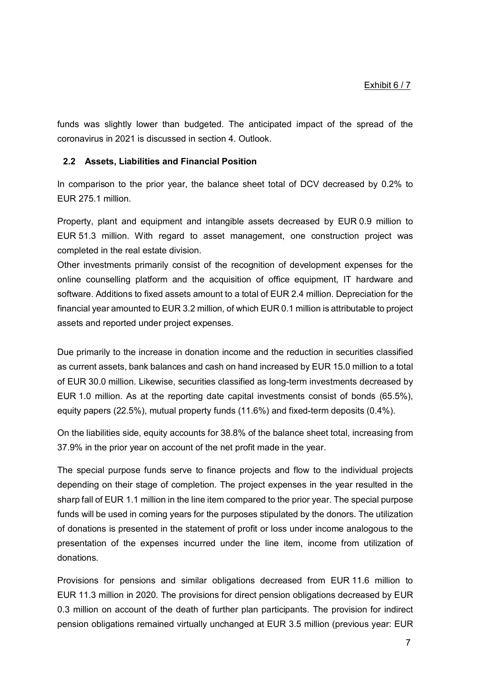funds was slightly lower than budgeted. The anticipated impact of the spread of the coronavirus in 2021 is discussed in section 4. Outlook.

## **2.2 Assets, Liabilities and Financial Position**

In comparison to the prior year, the balance sheet total of DCV decreased by 0.2% to EUR 275.1 million.

Property, plant and equipment and intangible assets decreased by EUR 0.9 million to EUR 51.3 million. With regard to asset management, one construction project was completed in the real estate division.

Other investments primarily consist of the recognition of development expenses for the online counselling platform and the acquisition of office equipment, IT hardware and software. Additions to fixed assets amount to a total of EUR 2.4 million. Depreciation for the financial year amounted to EUR 3.2 million, of which EUR 0.1 million is attributable to project assets and reported under project expenses.

Due primarily to the increase in donation income and the reduction in securities classified as current assets, bank balances and cash on hand increased by EUR 15.0 million to a total of EUR 30.0 million. Likewise, securities classified as long-term investments decreased by EUR 1.0 million. As at the reporting date capital investments consist of bonds (65.5%), equity papers (22.5%), mutual property funds (11.6%) and fixed-term deposits (0.4%).

On the liabilities side, equity accounts for 38.8% of the balance sheet total, increasing from 37.9% in the prior year on account of the net profit made in the year.

The special purpose funds serve to finance projects and flow to the individual projects depending on their stage of completion. The project expenses in the year resulted in the sharp fall of EUR 1.1 million in the line item compared to the prior year. The special purpose funds will be used in coming years for the purposes stipulated by the donors. The utilization of donations is presented in the statement of profit or loss under income analogous to the presentation of the expenses incurred under the line item, income from utilization of donations.

Provisions for pensions and similar obligations decreased from EUR 11.6 million to EUR 11.3 million in 2020. The provisions for direct pension obligations decreased by EUR 0.3 million on account of the death of further plan participants. The provision for indirect pension obligations remained virtually unchanged at EUR 3.5 million (previous year: EUR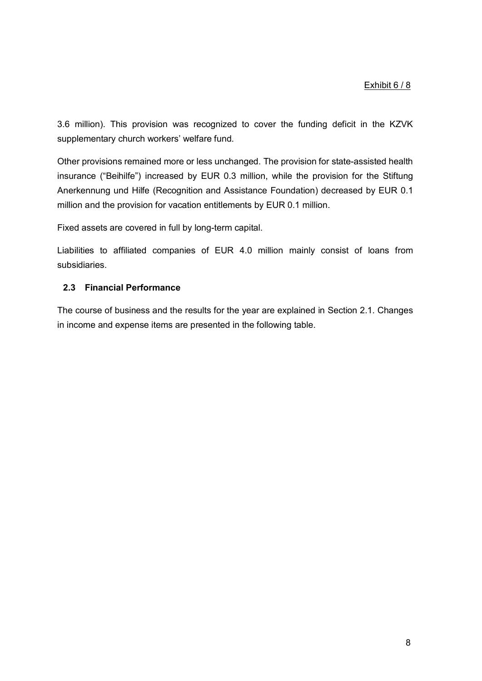3.6 million). This provision was recognized to cover the funding deficit in the KZVK supplementary church workers' welfare fund.

Other provisions remained more or less unchanged. The provision for state-assisted health insurance ("Beihilfe") increased by EUR 0.3 million, while the provision for the Stiftung Anerkennung und Hilfe (Recognition and Assistance Foundation) decreased by EUR 0.1 million and the provision for vacation entitlements by EUR 0.1 million.

Fixed assets are covered in full by long-term capital.

Liabilities to affiliated companies of EUR 4.0 million mainly consist of loans from subsidiaries.

# **2.3 Financial Performance**

The course of business and the results for the year are explained in Section 2.1. Changes in income and expense items are presented in the following table.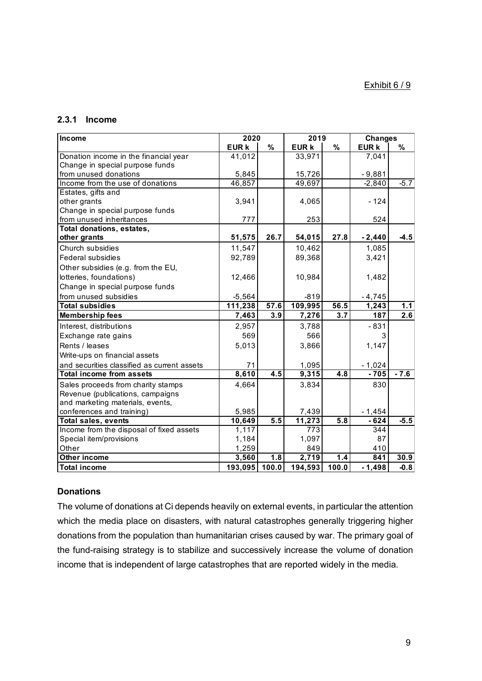# **2.3.1 Income**

| Income                                      | 2020        |       | 2019             |                  | <b>Changes</b> |        |
|---------------------------------------------|-------------|-------|------------------|------------------|----------------|--------|
|                                             | <b>EURK</b> | $\%$  | <b>EURK</b>      | $\%$             | <b>EURK</b>    | %      |
| Donation income in the financial year       | 41,012      |       | 33,971           |                  | 7,041          |        |
| Change in special purpose funds             |             |       |                  |                  |                |        |
| from unused donations                       | 5,845       |       | 15,726           |                  | $-9,881$       |        |
| Income from the use of donations            | 46,857      |       | 49,697           |                  | $-2,840$       | $-5.7$ |
| Estates, gifts and                          |             |       |                  |                  |                |        |
| other grants                                | 3,941       |       | 4,065            |                  | $-124$         |        |
| Change in special purpose funds             |             |       |                  |                  |                |        |
| from unused inheritances                    | 777         |       | 253              |                  | 524            |        |
| Total donations, estates,                   |             |       |                  |                  |                |        |
| other grants                                | 51,575      | 26.7  | 54,015           | 27.8             | $-2,440$       | $-4.5$ |
| Church subsidies                            | 11,547      |       | 10,462           |                  | 1,085          |        |
| <b>Federal subsidies</b>                    | 92,789      |       | 89,368           |                  | 3,421          |        |
| Other subsidies (e.g. from the EU,          |             |       |                  |                  |                |        |
| lotteries, foundations)                     | 12,466      |       | 10,984           |                  | 1,482          |        |
| Change in special purpose funds             |             |       |                  |                  |                |        |
| from unused subsidies                       | $-5,564$    |       | $-819$           |                  | $-4,745$       |        |
| <b>Total subsidies</b>                      | 111,238     | 57.6  | 109,995          | 56.5             | 1,243          | 1.1    |
| <b>Membership fees</b>                      | 7,463       | 3.9   | 7,276            | 3.7              | 187            | 2.6    |
| Interest, distributions                     | 2,957       |       | 3,788            |                  | $-831$         |        |
| Exchange rate gains                         | 569         |       | 566              |                  | 3              |        |
| Rents / leases                              | 5,013       |       | 3,866            |                  | 1,147          |        |
| Write-ups on financial assets               |             |       |                  |                  |                |        |
| and securities classified as current assets | 71          |       | 1,095            |                  | $-1,024$       |        |
| <b>Total income from assets</b>             | 8,610       | 4.5   | 9,315            | 4.8              | $-705$         | $-7.6$ |
| Sales proceeds from charity stamps          | 4,664       |       | 3,834            |                  | 830            |        |
| Revenue (publications, campaigns            |             |       |                  |                  |                |        |
| and marketing materials, events,            |             |       |                  |                  |                |        |
| conferences and training)                   | 5,985       |       | 7,439            |                  | $-1,454$       |        |
| <b>Total sales, events</b>                  | 10,649      | 5.5   | 11,273           | $\overline{5.8}$ | $-624$         | $-5.5$ |
| Income from the disposal of fixed assets    | 1,117       |       | $\overline{773}$ |                  | 344            |        |
| Special item/provisions                     | 1,184       |       | 1,097            |                  | 87             |        |
| Other                                       | 1,259       |       | 849              |                  | 410            |        |
| Other income                                | 3,560       | 1.8   | 2,719            | 1.4              | 841            | 30.9   |
| <b>Total income</b>                         | 193,095     | 100.0 | 194,593          | 100.0            | $-1,498$       | $-0.8$ |

# **Donations**

The volume of donations at Ci depends heavily on external events, in particular the attention which the media place on disasters, with natural catastrophes generally triggering higher donations from the population than humanitarian crises caused by war. The primary goal of the fund-raising strategy is to stabilize and successively increase the volume of donation income that is independent of large catastrophes that are reported widely in the media.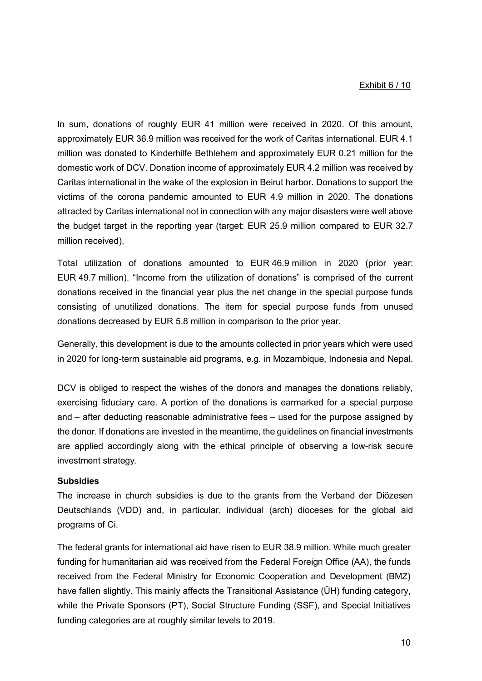#### Exhibit 6 / 10

In sum, donations of roughly EUR 41 million were received in 2020. Of this amount, approximately EUR 36.9 million was received for the work of Caritas international. EUR 4.1 million was donated to Kinderhilfe Bethlehem and approximately EUR 0.21 million for the domestic work of DCV. Donation income of approximately EUR 4.2 million was received by Caritas international in the wake of the explosion in Beirut harbor. Donations to support the victims of the corona pandemic amounted to EUR 4.9 million in 2020. The donations attracted by Caritas international not in connection with any major disasters were well above the budget target in the reporting year (target: EUR 25.9 million compared to EUR 32.7 million received).

Total utilization of donations amounted to EUR 46.9 million in 2020 (prior year: EUR 49.7 million). "Income from the utilization of donations" is comprised of the current donations received in the financial year plus the net change in the special purpose funds consisting of unutilized donations. The item for special purpose funds from unused donations decreased by EUR 5.8 million in comparison to the prior year.

Generally, this development is due to the amounts collected in prior years which were used in 2020 for long-term sustainable aid programs, e.g. in Mozambique, Indonesia and Nepal.

DCV is obliged to respect the wishes of the donors and manages the donations reliably, exercising fiduciary care. A portion of the donations is earmarked for a special purpose and – after deducting reasonable administrative fees – used for the purpose assigned by the donor. If donations are invested in the meantime, the guidelines on financial investments are applied accordingly along with the ethical principle of observing a low-risk secure investment strategy.

#### **Subsidies**

The increase in church subsidies is due to the grants from the Verband der Diözesen Deutschlands (VDD) and, in particular, individual (arch) dioceses for the global aid programs of Ci.

The federal grants for international aid have risen to EUR 38.9 million. While much greater funding for humanitarian aid was received from the Federal Foreign Office (AA), the funds received from the Federal Ministry for Economic Cooperation and Development (BMZ) have fallen slightly. This mainly affects the Transitional Assistance (ÜH) funding category, while the Private Sponsors (PT), Social Structure Funding (SSF), and Special Initiatives funding categories are at roughly similar levels to 2019.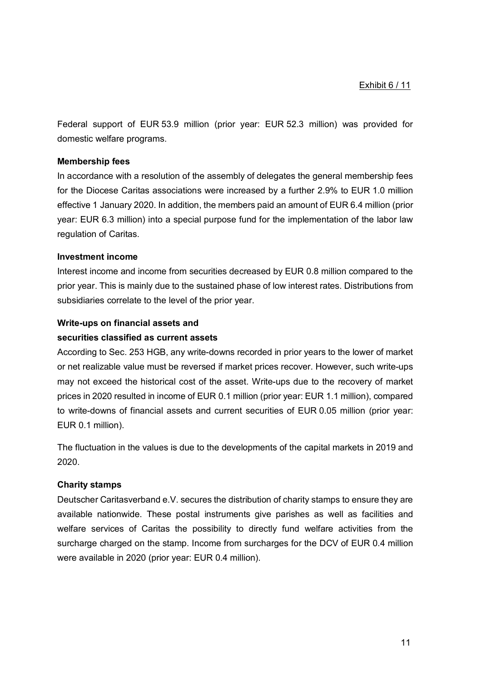Federal support of EUR 53.9 million (prior year: EUR 52.3 million) was provided for domestic welfare programs.

# **Membership fees**

In accordance with a resolution of the assembly of delegates the general membership fees for the Diocese Caritas associations were increased by a further 2.9% to EUR 1.0 million effective 1 January 2020. In addition, the members paid an amount of EUR 6.4 million (prior year: EUR 6.3 million) into a special purpose fund for the implementation of the labor law regulation of Caritas.

# **Investment income**

Interest income and income from securities decreased by EUR 0.8 million compared to the prior year. This is mainly due to the sustained phase of low interest rates. Distributions from subsidiaries correlate to the level of the prior year.

# **Write-ups on financial assets and**

# **securities classified as current assets**

According to Sec. 253 HGB, any write-downs recorded in prior years to the lower of market or net realizable value must be reversed if market prices recover. However, such write-ups may not exceed the historical cost of the asset. Write-ups due to the recovery of market prices in 2020 resulted in income of EUR 0.1 million (prior year: EUR 1.1 million), compared to write-downs of financial assets and current securities of EUR 0.05 million (prior year: EUR 0.1 million).

The fluctuation in the values is due to the developments of the capital markets in 2019 and 2020.

# **Charity stamps**

Deutscher Caritasverband e.V. secures the distribution of charity stamps to ensure they are available nationwide. These postal instruments give parishes as well as facilities and welfare services of Caritas the possibility to directly fund welfare activities from the surcharge charged on the stamp. Income from surcharges for the DCV of EUR 0.4 million were available in 2020 (prior year: EUR 0.4 million).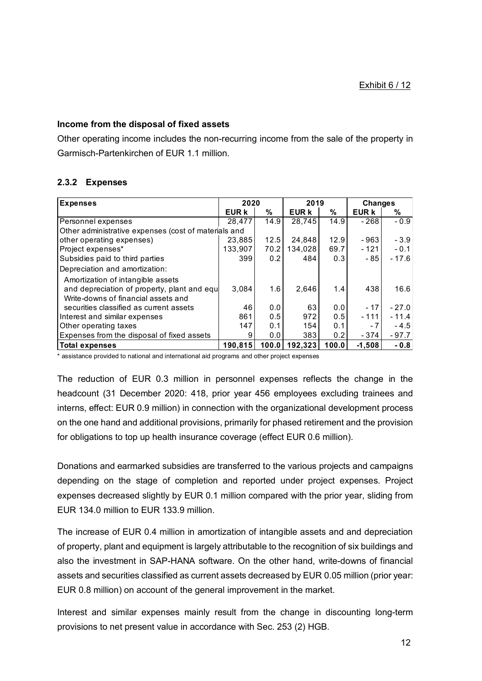# **Income from the disposal of fixed assets**

Other operating income includes the non-recurring income from the sale of the property in Garmisch-Partenkirchen of EUR 1.1 million.

# **2.3.2 Expenses**

| <b>Expenses</b>                                                                                                         | 2020         |       | 2019         |       | <b>Changes</b> |         |
|-------------------------------------------------------------------------------------------------------------------------|--------------|-------|--------------|-------|----------------|---------|
|                                                                                                                         | <b>EUR k</b> | %     | <b>EUR k</b> | ℅     | EUR k          | %       |
| Personnel expenses                                                                                                      | 28,477       | 14.9  | 28,745       | 14.9  | $-268$         | $-0.9$  |
| Other administrative expenses (cost of materials and                                                                    |              |       |              |       |                |         |
| other operating expenses)                                                                                               | 23,885       | 12.5  | 24,848       | 12.9  | $-963$         | $-3.9$  |
| Project expenses*                                                                                                       | 133,907      | 70.2  | 134,028      | 69.7  | $-121$         | $-0.1$  |
| Subsidies paid to third parties                                                                                         | 399          | 0.2   | 484          | 0.3   | $-85$          | $-17.6$ |
| Depreciation and amortization:                                                                                          |              |       |              |       |                |         |
| Amortization of intangible assets<br>and depreciation of property, plant and equ<br>Write-downs of financial assets and | 3.084        | 1.6   | 2,646        | 1.4   | 438            | 16.6    |
| securities classified as current assets                                                                                 | 46           | 0.0   | 63           | 0.0   | $-17$          | $-27.0$ |
| Interest and similar expenses                                                                                           | 861          | 0.5   | 972          | 0.5   | $-111$         | $-11.4$ |
| Other operating taxes                                                                                                   | 147          | 0.1   | 154          | 0.1   | - 7            | $-4.5$  |
| Expenses from the disposal of fixed assets                                                                              | 9            | 0.0   | 383          | 0.2   | $-374$         | $-97.7$ |
| <b>Total expenses</b>                                                                                                   | 190.815      | 100.0 | 192,323      | 100.0 | $-1.508$       | $-0.8$  |

\* assistance provided to national and international aid programs and other project expenses

The reduction of EUR 0.3 million in personnel expenses reflects the change in the headcount (31 December 2020: 418, prior year 456 employees excluding trainees and interns, effect: EUR 0.9 million) in connection with the organizational development process on the one hand and additional provisions, primarily for phased retirement and the provision for obligations to top up health insurance coverage (effect EUR 0.6 million).

Donations and earmarked subsidies are transferred to the various projects and campaigns depending on the stage of completion and reported under project expenses. Project expenses decreased slightly by EUR 0.1 million compared with the prior year, sliding from EUR 134.0 million to EUR 133.9 million.

The increase of EUR 0.4 million in amortization of intangible assets and and depreciation of property, plant and equipment is largely attributable to the recognition of six buildings and also the investment in SAP-HANA software. On the other hand, write-downs of financial assets and securities classified as current assets decreased by EUR 0.05 million (prior year: EUR 0.8 million) on account of the general improvement in the market.

Interest and similar expenses mainly result from the change in discounting long-term provisions to net present value in accordance with Sec. 253 (2) HGB.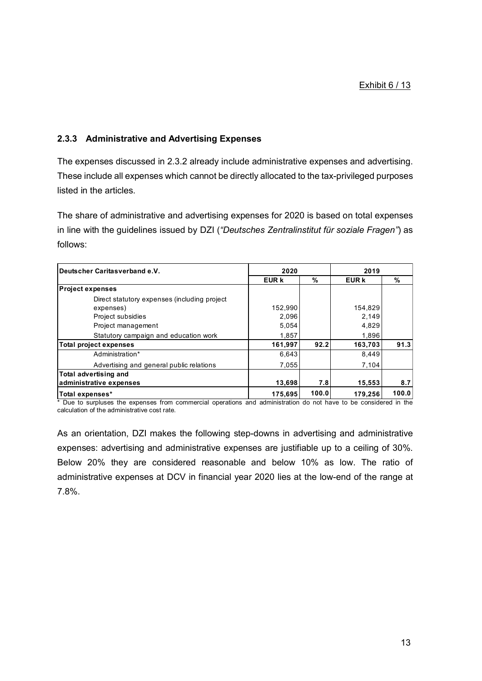# **2.3.3 Administrative and Advertising Expenses**

The expenses discussed in 2.3.2 already include administrative expenses and advertising. These include all expenses which cannot be directly allocated to the tax-privileged purposes listed in the articles.

The share of administrative and advertising expenses for 2020 is based on total expenses in line with the guidelines issued by DZI (*"Deutsches Zentralinstitut für soziale Fragen"*) as follows:

| Deutscher Caritasverband e.V.                | 2020    |       | 2019         |       |  |
|----------------------------------------------|---------|-------|--------------|-------|--|
|                                              | EUR k   | %     | <b>EUR k</b> | $\%$  |  |
| <b>Project expenses</b>                      |         |       |              |       |  |
| Direct statutory expenses (including project |         |       |              |       |  |
| expenses)                                    | 152,990 |       | 154,829      |       |  |
| Project subsidies                            | 2,096   |       | 2,149        |       |  |
| Project management                           | 5,054   |       | 4,829        |       |  |
| Statutory campaign and education work        | 1,857   |       | 1,896        |       |  |
| <b>Total project expenses</b>                | 161,997 | 92.2  | 163,703      | 91.3  |  |
| Administration*                              | 6,643   |       | 8,449        |       |  |
| Advertising and general public relations     | 7.055   |       | 7.104        |       |  |
| <b>Total advertising and</b>                 |         |       |              |       |  |
| administrative expenses                      | 13,698  | 7.8   | 15,553       | 8.7   |  |
| Total expenses*                              | 175,695 | 100.0 | 179,256      | 100.0 |  |

\* Due to surpluses the expenses from commercial operations and administration do not have to be considered in the calculation of the administrative cost rate.

As an orientation, DZI makes the following step-downs in advertising and administrative expenses: advertising and administrative expenses are justifiable up to a ceiling of 30%. Below 20% they are considered reasonable and below 10% as low. The ratio of administrative expenses at DCV in financial year 2020 lies at the low-end of the range at 7.8%.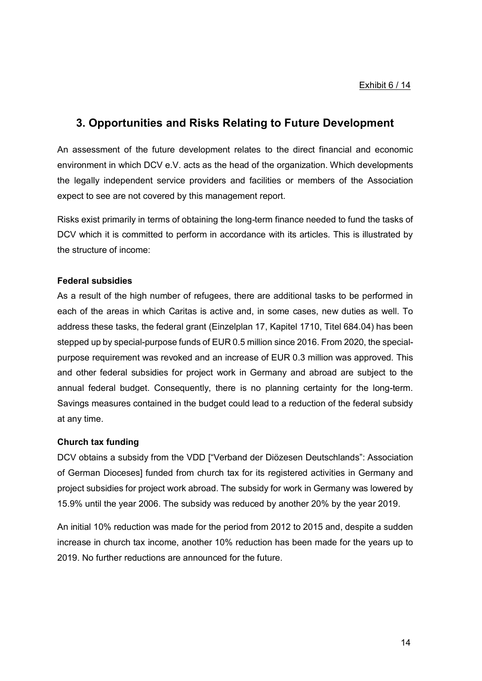# **3. Opportunities and Risks Relating to Future Development**

An assessment of the future development relates to the direct financial and economic environment in which DCV e.V. acts as the head of the organization. Which developments the legally independent service providers and facilities or members of the Association expect to see are not covered by this management report.

Risks exist primarily in terms of obtaining the long-term finance needed to fund the tasks of DCV which it is committed to perform in accordance with its articles. This is illustrated by the structure of income:

#### **Federal subsidies**

As a result of the high number of refugees, there are additional tasks to be performed in each of the areas in which Caritas is active and, in some cases, new duties as well. To address these tasks, the federal grant (Einzelplan 17, Kapitel 1710, Titel 684.04) has been stepped up by special-purpose funds of EUR 0.5 million since 2016. From 2020, the specialpurpose requirement was revoked and an increase of EUR 0.3 million was approved. This and other federal subsidies for project work in Germany and abroad are subject to the annual federal budget. Consequently, there is no planning certainty for the long-term. Savings measures contained in the budget could lead to a reduction of the federal subsidy at any time.

# **Church tax funding**

DCV obtains a subsidy from the VDD ["Verband der Diözesen Deutschlands": Association of German Dioceses] funded from church tax for its registered activities in Germany and project subsidies for project work abroad. The subsidy for work in Germany was lowered by 15.9% until the year 2006. The subsidy was reduced by another 20% by the year 2019.

An initial 10% reduction was made for the period from 2012 to 2015 and, despite a sudden increase in church tax income, another 10% reduction has been made for the years up to 2019. No further reductions are announced for the future.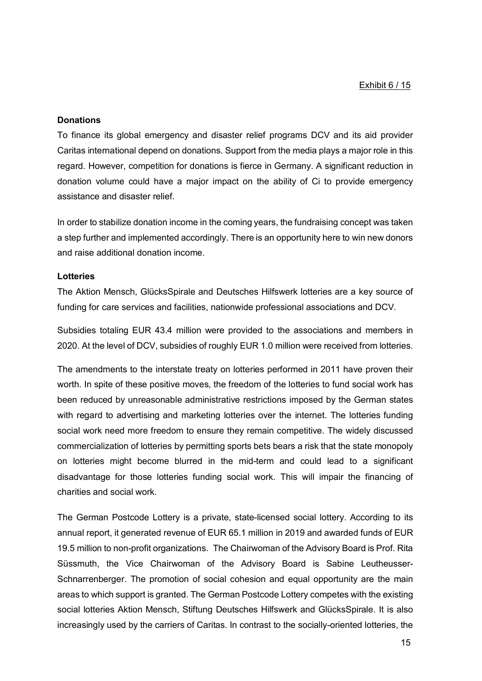Exhibit 6 / 15

#### **Donations**

To finance its global emergency and disaster relief programs DCV and its aid provider Caritas international depend on donations. Support from the media plays a major role in this regard. However, competition for donations is fierce in Germany. A significant reduction in donation volume could have a major impact on the ability of Ci to provide emergency assistance and disaster relief.

In order to stabilize donation income in the coming years, the fundraising concept was taken a step further and implemented accordingly. There is an opportunity here to win new donors and raise additional donation income.

#### **Lotteries**

The Aktion Mensch, GlücksSpirale and Deutsches Hilfswerk lotteries are a key source of funding for care services and facilities, nationwide professional associations and DCV.

Subsidies totaling EUR 43.4 million were provided to the associations and members in 2020. At the level of DCV, subsidies of roughly EUR 1.0 million were received from lotteries.

The amendments to the interstate treaty on lotteries performed in 2011 have proven their worth. In spite of these positive moves, the freedom of the lotteries to fund social work has been reduced by unreasonable administrative restrictions imposed by the German states with regard to advertising and marketing lotteries over the internet. The lotteries funding social work need more freedom to ensure they remain competitive. The widely discussed commercialization of lotteries by permitting sports bets bears a risk that the state monopoly on lotteries might become blurred in the mid-term and could lead to a significant disadvantage for those lotteries funding social work. This will impair the financing of charities and social work.

The German Postcode Lottery is a private, state-licensed social lottery. According to its annual report, it generated revenue of EUR 65.1 million in 2019 and awarded funds of EUR 19.5 million to non-profit organizations. The Chairwoman of the Advisory Board is Prof. Rita Süssmuth, the Vice Chairwoman of the Advisory Board is Sabine Leutheusser-Schnarrenberger. The promotion of social cohesion and equal opportunity are the main areas to which support is granted. The German Postcode Lottery competes with the existing social lotteries Aktion Mensch, Stiftung Deutsches Hilfswerk and GlücksSpirale. It is also increasingly used by the carriers of Caritas. In contrast to the socially-oriented lotteries, the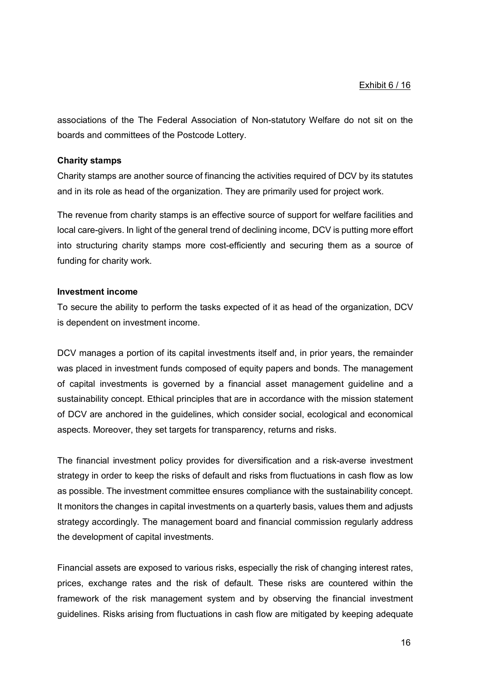associations of the The Federal Association of Non-statutory Welfare do not sit on the boards and committees of the Postcode Lottery.

## **Charity stamps**

Charity stamps are another source of financing the activities required of DCV by its statutes and in its role as head of the organization. They are primarily used for project work.

The revenue from charity stamps is an effective source of support for welfare facilities and local care-givers. In light of the general trend of declining income, DCV is putting more effort into structuring charity stamps more cost-efficiently and securing them as a source of funding for charity work.

#### **Investment income**

To secure the ability to perform the tasks expected of it as head of the organization, DCV is dependent on investment income.

DCV manages a portion of its capital investments itself and, in prior years, the remainder was placed in investment funds composed of equity papers and bonds. The management of capital investments is governed by a financial asset management guideline and a sustainability concept. Ethical principles that are in accordance with the mission statement of DCV are anchored in the guidelines, which consider social, ecological and economical aspects. Moreover, they set targets for transparency, returns and risks.

The financial investment policy provides for diversification and a risk-averse investment strategy in order to keep the risks of default and risks from fluctuations in cash flow as low as possible. The investment committee ensures compliance with the sustainability concept. It monitors the changes in capital investments on a quarterly basis, values them and adjusts strategy accordingly. The management board and financial commission regularly address the development of capital investments.

Financial assets are exposed to various risks, especially the risk of changing interest rates, prices, exchange rates and the risk of default. These risks are countered within the framework of the risk management system and by observing the financial investment guidelines. Risks arising from fluctuations in cash flow are mitigated by keeping adequate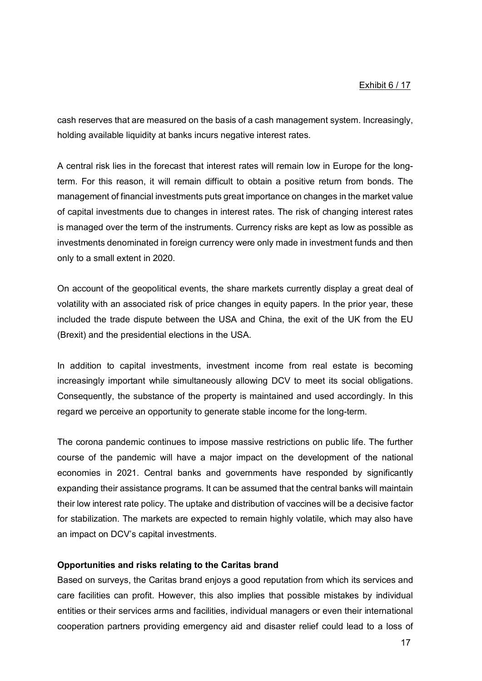cash reserves that are measured on the basis of a cash management system. Increasingly, holding available liquidity at banks incurs negative interest rates.

A central risk lies in the forecast that interest rates will remain low in Europe for the longterm. For this reason, it will remain difficult to obtain a positive return from bonds. The management of financial investments puts great importance on changes in the market value of capital investments due to changes in interest rates. The risk of changing interest rates is managed over the term of the instruments. Currency risks are kept as low as possible as investments denominated in foreign currency were only made in investment funds and then only to a small extent in 2020.

On account of the geopolitical events, the share markets currently display a great deal of volatility with an associated risk of price changes in equity papers. In the prior year, these included the trade dispute between the USA and China, the exit of the UK from the EU (Brexit) and the presidential elections in the USA.

In addition to capital investments, investment income from real estate is becoming increasingly important while simultaneously allowing DCV to meet its social obligations. Consequently, the substance of the property is maintained and used accordingly. In this regard we perceive an opportunity to generate stable income for the long-term.

The corona pandemic continues to impose massive restrictions on public life. The further course of the pandemic will have a major impact on the development of the national economies in 2021. Central banks and governments have responded by significantly expanding their assistance programs. It can be assumed that the central banks will maintain their low interest rate policy. The uptake and distribution of vaccines will be a decisive factor for stabilization. The markets are expected to remain highly volatile, which may also have an impact on DCV's capital investments.

#### **Opportunities and risks relating to the Caritas brand**

Based on surveys, the Caritas brand enjoys a good reputation from which its services and care facilities can profit. However, this also implies that possible mistakes by individual entities or their services arms and facilities, individual managers or even their international cooperation partners providing emergency aid and disaster relief could lead to a loss of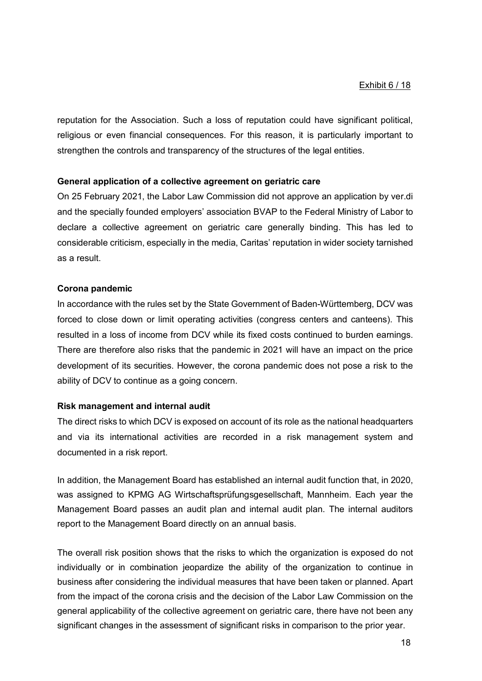reputation for the Association. Such a loss of reputation could have significant political, religious or even financial consequences. For this reason, it is particularly important to strengthen the controls and transparency of the structures of the legal entities.

#### **General application of a collective agreement on geriatric care**

On 25 February 2021, the Labor Law Commission did not approve an application by ver.di and the specially founded employers' association BVAP to the Federal Ministry of Labor to declare a collective agreement on geriatric care generally binding. This has led to considerable criticism, especially in the media, Caritas' reputation in wider society tarnished as a result.

#### **Corona pandemic**

In accordance with the rules set by the State Government of Baden-Württemberg, DCV was forced to close down or limit operating activities (congress centers and canteens). This resulted in a loss of income from DCV while its fixed costs continued to burden earnings. There are therefore also risks that the pandemic in 2021 will have an impact on the price development of its securities. However, the corona pandemic does not pose a risk to the ability of DCV to continue as a going concern.

#### **Risk management and internal audit**

The direct risks to which DCV is exposed on account of its role as the national headquarters and via its international activities are recorded in a risk management system and documented in a risk report.

In addition, the Management Board has established an internal audit function that, in 2020, was assigned to KPMG AG Wirtschaftsprüfungsgesellschaft, Mannheim. Each year the Management Board passes an audit plan and internal audit plan. The internal auditors report to the Management Board directly on an annual basis.

The overall risk position shows that the risks to which the organization is exposed do not individually or in combination jeopardize the ability of the organization to continue in business after considering the individual measures that have been taken or planned. Apart from the impact of the corona crisis and the decision of the Labor Law Commission on the general applicability of the collective agreement on geriatric care, there have not been any significant changes in the assessment of significant risks in comparison to the prior year.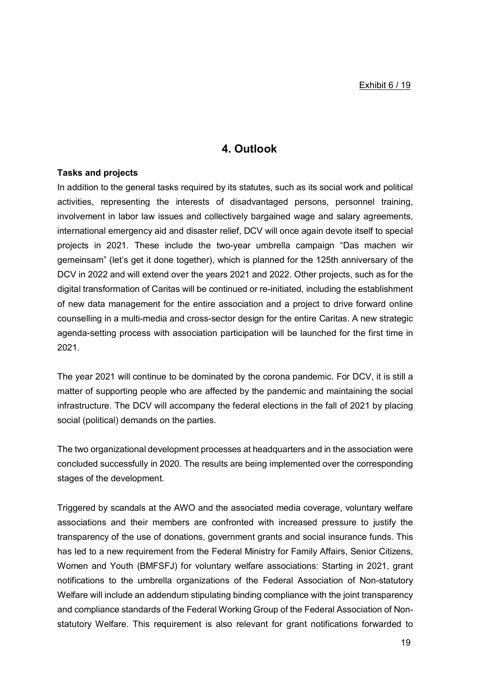# **4. Outlook**

### **Tasks and projects**

In addition to the general tasks required by its statutes, such as its social work and political activities, representing the interests of disadvantaged persons, personnel training, involvement in labor law issues and collectively bargained wage and salary agreements, international emergency aid and disaster relief, DCV will once again devote itself to special projects in 2021. These include the two-year umbrella campaign "Das machen wir gemeinsam" (let's get it done together), which is planned for the 125th anniversary of the DCV in 2022 and will extend over the years 2021 and 2022. Other projects, such as for the digital transformation of Caritas will be continued or re-initiated, including the establishment of new data management for the entire association and a project to drive forward online counselling in a multi-media and cross-sector design for the entire Caritas. A new strategic agenda-setting process with association participation will be launched for the first time in 2021.

The year 2021 will continue to be dominated by the corona pandemic. For DCV, it is still a matter of supporting people who are affected by the pandemic and maintaining the social infrastructure. The DCV will accompany the federal elections in the fall of 2021 by placing social (political) demands on the parties.

The two organizational development processes at headquarters and in the association were concluded successfully in 2020. The results are being implemented over the corresponding stages of the development.

Triggered by scandals at the AWO and the associated media coverage, voluntary welfare associations and their members are confronted with increased pressure to justify the transparency of the use of donations, government grants and social insurance funds. This has led to a new requirement from the Federal Ministry for Family Affairs, Senior Citizens, Women and Youth (BMFSFJ) for voluntary welfare associations: Starting in 2021, grant notifications to the umbrella organizations of the Federal Association of Non-statutory Welfare will include an addendum stipulating binding compliance with the joint transparency and compliance standards of the Federal Working Group of the Federal Association of Nonstatutory Welfare. This requirement is also relevant for grant notifications forwarded to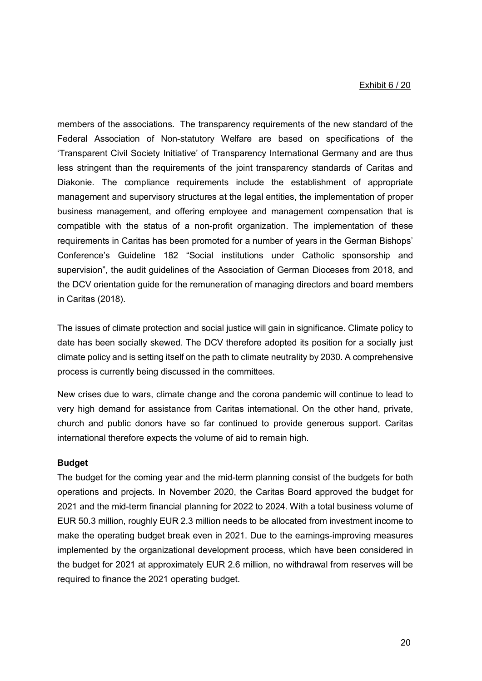#### Exhibit 6 / 20

members of the associations. The transparency requirements of the new standard of the Federal Association of Non-statutory Welfare are based on specifications of the 'Transparent Civil Society Initiative' of Transparency International Germany and are thus less stringent than the requirements of the joint transparency standards of Caritas and Diakonie. The compliance requirements include the establishment of appropriate management and supervisory structures at the legal entities, the implementation of proper business management, and offering employee and management compensation that is compatible with the status of a non-profit organization. The implementation of these requirements in Caritas has been promoted for a number of years in the German Bishops' Conference's Guideline 182 "Social institutions under Catholic sponsorship and supervision", the audit guidelines of the Association of German Dioceses from 2018, and the DCV orientation guide for the remuneration of managing directors and board members in Caritas (2018).

The issues of climate protection and social justice will gain in significance. Climate policy to date has been socially skewed. The DCV therefore adopted its position for a socially just climate policy and is setting itself on the path to climate neutrality by 2030. A comprehensive process is currently being discussed in the committees.

New crises due to wars, climate change and the corona pandemic will continue to lead to very high demand for assistance from Caritas international. On the other hand, private, church and public donors have so far continued to provide generous support. Caritas international therefore expects the volume of aid to remain high.

#### **Budget**

The budget for the coming year and the mid-term planning consist of the budgets for both operations and projects. In November 2020, the Caritas Board approved the budget for 2021 and the mid-term financial planning for 2022 to 2024. With a total business volume of EUR 50.3 million, roughly EUR 2.3 million needs to be allocated from investment income to make the operating budget break even in 2021. Due to the earnings-improving measures implemented by the organizational development process, which have been considered in the budget for 2021 at approximately EUR 2.6 million, no withdrawal from reserves will be required to finance the 2021 operating budget.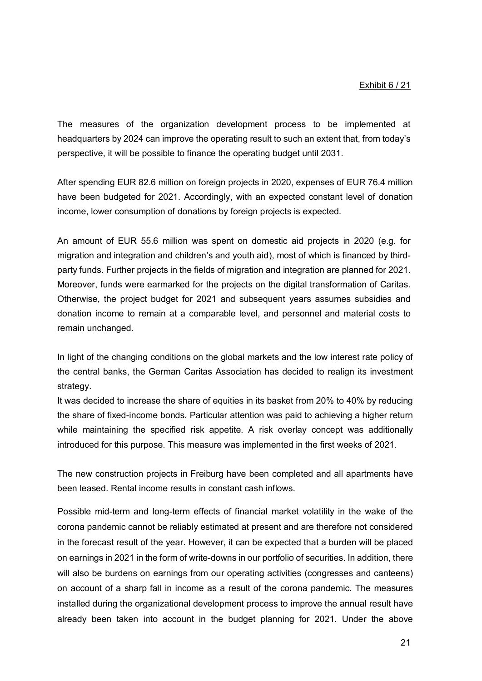The measures of the organization development process to be implemented at headquarters by 2024 can improve the operating result to such an extent that, from today's perspective, it will be possible to finance the operating budget until 2031.

After spending EUR 82.6 million on foreign projects in 2020, expenses of EUR 76.4 million have been budgeted for 2021. Accordingly, with an expected constant level of donation income, lower consumption of donations by foreign projects is expected.

An amount of EUR 55.6 million was spent on domestic aid projects in 2020 (e.g. for migration and integration and children's and youth aid), most of which is financed by thirdparty funds. Further projects in the fields of migration and integration are planned for 2021. Moreover, funds were earmarked for the projects on the digital transformation of Caritas. Otherwise, the project budget for 2021 and subsequent years assumes subsidies and donation income to remain at a comparable level, and personnel and material costs to remain unchanged.

In light of the changing conditions on the global markets and the low interest rate policy of the central banks, the German Caritas Association has decided to realign its investment strategy.

It was decided to increase the share of equities in its basket from 20% to 40% by reducing the share of fixed-income bonds. Particular attention was paid to achieving a higher return while maintaining the specified risk appetite. A risk overlay concept was additionally introduced for this purpose. This measure was implemented in the first weeks of 2021.

The new construction projects in Freiburg have been completed and all apartments have been leased. Rental income results in constant cash inflows.

Possible mid-term and long-term effects of financial market volatility in the wake of the corona pandemic cannot be reliably estimated at present and are therefore not considered in the forecast result of the year. However, it can be expected that a burden will be placed on earnings in 2021 in the form of write-downs in our portfolio of securities. In addition, there will also be burdens on earnings from our operating activities (congresses and canteens) on account of a sharp fall in income as a result of the corona pandemic. The measures installed during the organizational development process to improve the annual result have already been taken into account in the budget planning for 2021. Under the above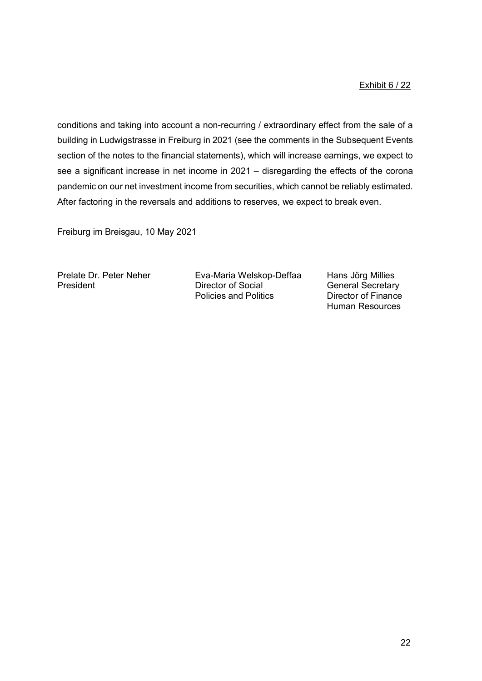# Exhibit 6 / 22

conditions and taking into account a non-recurring / extraordinary effect from the sale of a building in Ludwigstrasse in Freiburg in 2021 (see the comments in the Subsequent Events section of the notes to the financial statements), which will increase earnings, we expect to see a significant increase in net income in 2021 – disregarding the effects of the corona pandemic on our net investment income from securities, which cannot be reliably estimated. After factoring in the reversals and additions to reserves, we expect to break even.

Freiburg im Breisgau, 10 May 2021

Prelate Dr. Peter Neher Eva-Maria Welskop-Deffaa Hans Jörg Millies<br>Director of Social General Secretary Policies and Politics **Director of Finance** 

**General Secretary** Human Resources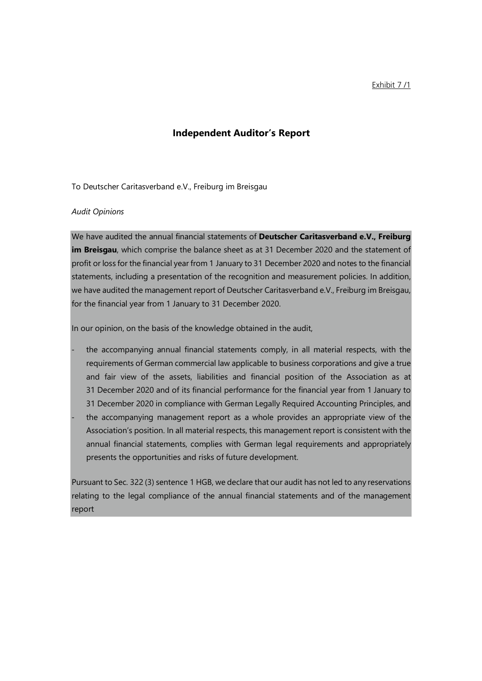Exhibit 7 /1

# **Independent Auditor's Report**

To Deutscher Caritasverband e.V., Freiburg im Breisgau

#### *Audit Opinions*

We have audited the annual financial statements of **Deutscher Caritasverband e.V., Freiburg im Breisgau**, which comprise the balance sheet as at 31 December 2020 and the statement of profit or loss for the financial year from 1 January to 31 December 2020 and notes to the financial statements, including a presentation of the recognition and measurement policies. In addition, we have audited the management report of Deutscher Caritasverband e.V., Freiburg im Breisgau, for the financial year from 1 January to 31 December 2020.

In our opinion, on the basis of the knowledge obtained in the audit,

- the accompanying annual financial statements comply, in all material respects, with the requirements of German commercial law applicable to business corporations and give a true and fair view of the assets, liabilities and financial position of the Association as at 31 December 2020 and of its financial performance for the financial year from 1 January to 31 December 2020 in compliance with German Legally Required Accounting Principles, and
- the accompanying management report as a whole provides an appropriate view of the Association's position. In all material respects, this management report is consistent with the annual financial statements, complies with German legal requirements and appropriately presents the opportunities and risks of future development.

Pursuant to Sec. 322 (3) sentence 1 HGB, we declare that our audit has not led to any reservations relating to the legal compliance of the annual financial statements and of the management report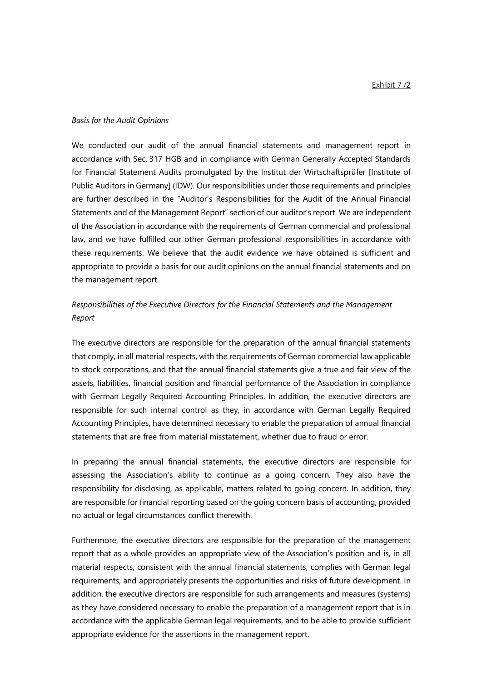#### *Basis for the Audit Opinions*

We conducted our audit of the annual financial statements and management report in accordance with Sec. 317 HGB and in compliance with German Generally Accepted Standards for Financial Statement Audits promulgated by the Institut der Wirtschaftsprüfer [Institute of Public Auditors in Germany] (IDW). Our responsibilities under those requirements and principles are further described in the "Auditor's Responsibilities for the Audit of the Annual Financial Statements and of the Management Report" section of our auditor's report. We are independent of the Association in accordance with the requirements of German commercial and professional law, and we have fulfilled our other German professional responsibilities in accordance with these requirements. We believe that the audit evidence we have obtained is sufficient and appropriate to provide a basis for our audit opinions on the annual financial statements and on the management report.

# *Responsibilities of the Executive Directors for the Financial Statements and the Management Report*

The executive directors are responsible for the preparation of the annual financial statements that comply, in all material respects, with the requirements of German commercial law applicable to stock corporations, and that the annual financial statements give a true and fair view of the assets, liabilities, financial position and financial performance of the Association in compliance with German Legally Required Accounting Principles. In addition, the executive directors are responsible for such internal control as they, in accordance with German Legally Required Accounting Principles, have determined necessary to enable the preparation of annual financial statements that are free from material misstatement, whether due to fraud or error.

In preparing the annual financial statements, the executive directors are responsible for assessing the Association's ability to continue as a going concern. They also have the responsibility for disclosing, as applicable, matters related to going concern. In addition, they are responsible for financial reporting based on the going concern basis of accounting, provided no actual or legal circumstances conflict therewith.

Furthermore, the executive directors are responsible for the preparation of the management report that as a whole provides an appropriate view of the Association's position and is, in all material respects, consistent with the annual financial statements, complies with German legal requirements, and appropriately presents the opportunities and risks of future development. In addition, the executive directors are responsible for such arrangements and measures (systems) as they have considered necessary to enable the preparation of a management report that is in accordance with the applicable German legal requirements, and to be able to provide sufficient appropriate evidence for the assertions in the management report.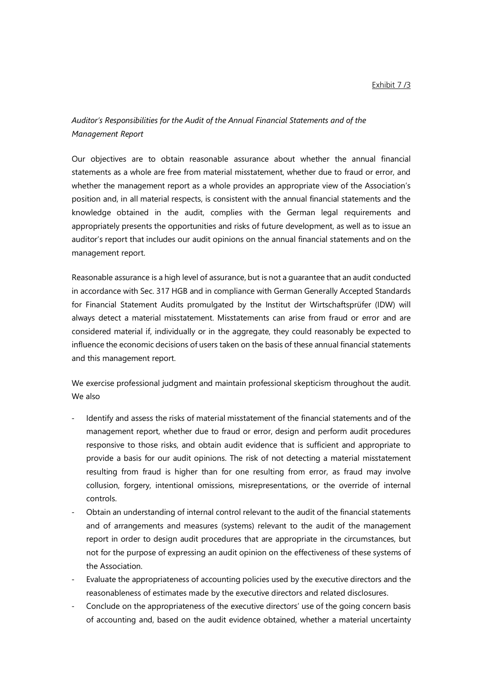# *Auditor's Responsibilities for the Audit of the Annual Financial Statements and of the Management Report*

Our objectives are to obtain reasonable assurance about whether the annual financial statements as a whole are free from material misstatement, whether due to fraud or error, and whether the management report as a whole provides an appropriate view of the Association's position and, in all material respects, is consistent with the annual financial statements and the knowledge obtained in the audit, complies with the German legal requirements and appropriately presents the opportunities and risks of future development, as well as to issue an auditor's report that includes our audit opinions on the annual financial statements and on the management report.

Reasonable assurance is a high level of assurance, but is not a guarantee that an audit conducted in accordance with Sec. 317 HGB and in compliance with German Generally Accepted Standards for Financial Statement Audits promulgated by the Institut der Wirtschaftsprüfer (IDW) will always detect a material misstatement. Misstatements can arise from fraud or error and are considered material if, individually or in the aggregate, they could reasonably be expected to influence the economic decisions of users taken on the basis of these annual financial statements and this management report.

We exercise professional judgment and maintain professional skepticism throughout the audit. We also

- Identify and assess the risks of material misstatement of the financial statements and of the management report, whether due to fraud or error, design and perform audit procedures responsive to those risks, and obtain audit evidence that is sufficient and appropriate to provide a basis for our audit opinions. The risk of not detecting a material misstatement resulting from fraud is higher than for one resulting from error, as fraud may involve collusion, forgery, intentional omissions, misrepresentations, or the override of internal controls.
- Obtain an understanding of internal control relevant to the audit of the financial statements and of arrangements and measures (systems) relevant to the audit of the management report in order to design audit procedures that are appropriate in the circumstances, but not for the purpose of expressing an audit opinion on the effectiveness of these systems of the Association.
- Evaluate the appropriateness of accounting policies used by the executive directors and the reasonableness of estimates made by the executive directors and related disclosures.
- Conclude on the appropriateness of the executive directors' use of the going concern basis of accounting and, based on the audit evidence obtained, whether a material uncertainty